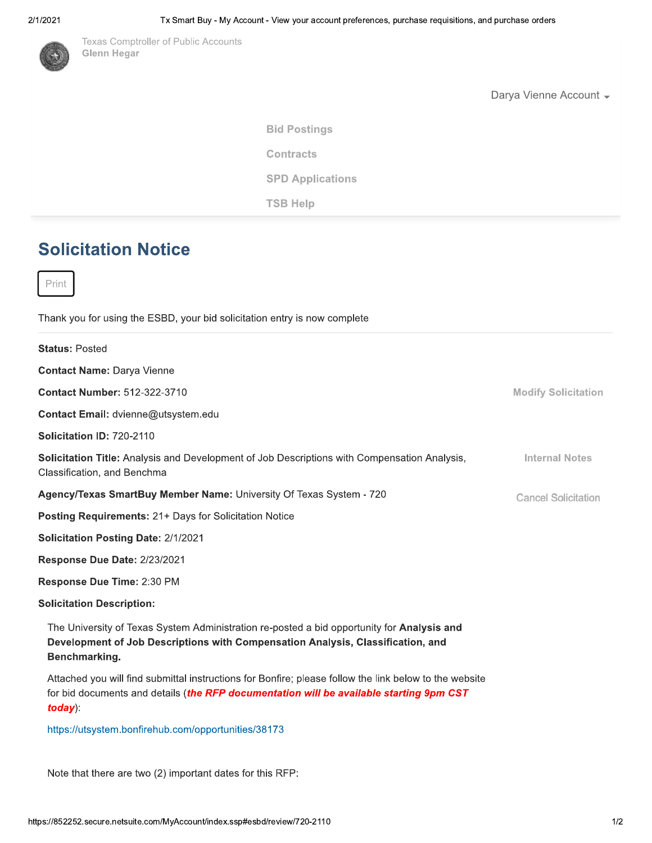### 21 TZ



Texas Comptroller of Public Accounts Glenn Hegar

Darya vienne Account <del>↓</del>

**Bid Postings TSB Help Contracts** SPD Applications

# Solicitation Notice

Print

Thank you for using the ESBD, your bid solicitation entry is now complete

| <b>Status: Posted</b>                                                                                                                                                                                           |                            |
|-----------------------------------------------------------------------------------------------------------------------------------------------------------------------------------------------------------------|----------------------------|
| <b>Contact Name: Darya Vienne</b>                                                                                                                                                                               |                            |
| <b>Contact Number: 512-322-3710</b>                                                                                                                                                                             | <b>Modify Solicitation</b> |
| Contact Email: dvienne@utsystem.edu                                                                                                                                                                             |                            |
| Solicitation ID: 720-2110                                                                                                                                                                                       |                            |
| Solicitation Title: Analysis and Development of Job Descriptions with Compensation Analysis,<br>Classification, and Benchma                                                                                     | <b>Internal Notes</b>      |
| Agency/Texas SmartBuy Member Name: University Of Texas System - 720                                                                                                                                             | <b>Cancel Solicitation</b> |
| <b>Posting Requirements: 21+ Days for Solicitation Notice</b>                                                                                                                                                   |                            |
| <b>Solicitation Posting Date: 2/1/2021</b>                                                                                                                                                                      |                            |
| Response Due Date: 2/23/2021                                                                                                                                                                                    |                            |
| Response Due Time: 2:30 PM                                                                                                                                                                                      |                            |
| <b>Solicitation Description:</b>                                                                                                                                                                                |                            |
| The University of Texas System Administration re-posted a bid opportunity for Analysis and<br>Development of Job Descriptions with Compensation Analysis, Classification, and<br>Benchmarking.                  |                            |
| Attached you will find submittal instructions for Bonfire; please follow the link below to the website<br>for bid documents and details (the RFP documentation will be available starting 9pm CST<br>$today)$ : |                            |
| https://utsystem.bonfirehub.com/opportunities/38173                                                                                                                                                             |                            |

https://utsystem.bohfirenub.com/opportunities/38173

Note that there are two (2) important dates for this  $\sf RFP$ :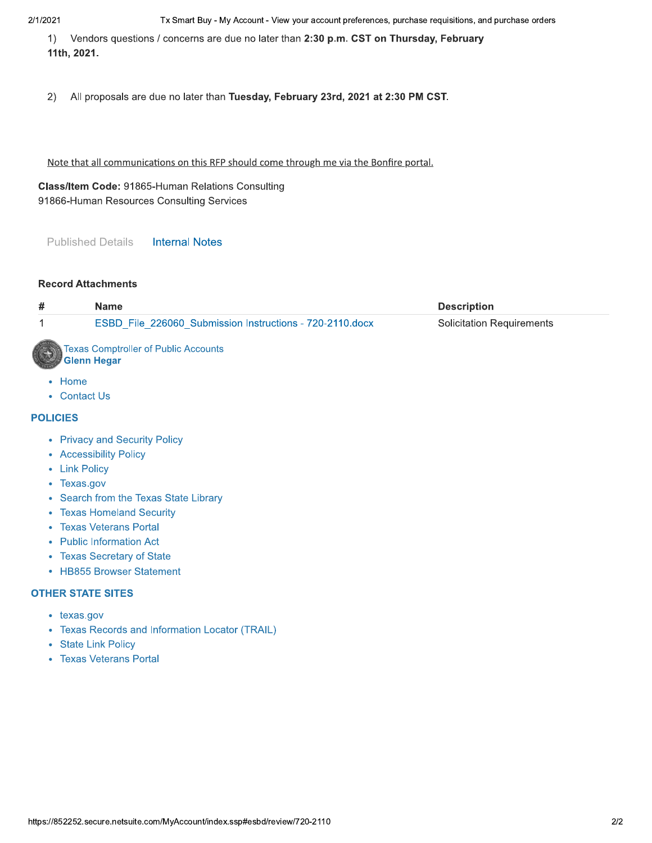#### 21 TZ

1) vendors questions / concerns are due no later than **2:30 p.m. CST on Thursday, February** 11th, 2021.

 $\mathcal{L}$ ) – All proposals are que no later than Tuesday, February 23rd, 2021 at 2:30 PM CST.

Note that all communications on this RFP should come through me via the Bonfire portal.

Class/Item Code: 91865-Human Relations Consulting 91866-Human Resources Consulting Services Il communications on this RFP should come through r<br> **Code:** 91865-Human Relations Consulting<br>
In Resources Consulting Services<br>
Details Internal Notes<br>
chments

Published Details lis **Internal Notes** 

#### **Record Attachments**

| #               | <b>Name</b>                                                       | <b>Description</b>               |
|-----------------|-------------------------------------------------------------------|----------------------------------|
| 1               | ESBD_File_226060_Submission Instructions - 720-2110.docx          | <b>Solicitation Requirements</b> |
|                 | <b>Texas Comptroller of Public Accounts</b><br><b>Glenn Hegar</b> |                                  |
| • Home          |                                                                   |                                  |
|                 | • Contact Us                                                      |                                  |
| <b>POLICIES</b> |                                                                   |                                  |
|                 | • Privacy and Security Policy                                     |                                  |
|                 | • Accessibility Policy                                            |                                  |
|                 | • Link Policy                                                     |                                  |
|                 | • Texas.gov                                                       |                                  |
|                 | • Search from the Texas State Library                             |                                  |
|                 | • Texas Homeland Security                                         |                                  |
|                 | • Texas Veterans Portal                                           |                                  |
|                 | • Public Information Act                                          |                                  |
| $\bullet$       | <b>Texas Secretary of State</b>                                   |                                  |
| ۰               | <b>HB855 Browser Statement</b>                                    |                                  |

- cy and Security Policy
- Accessibility Policy
- Link Policy
- Texas.gov
- Search from the Texas State Library
- **Texas Homeland Security**
- Texas veterans Portal
- Public Information Act
- rexas Secretary or State
- HB855 Browser Statement

#### **OTHER STATE SITES**

- texas.gov
- Texas Veterans Portal<br>
 Public Information Act<br>
 Texas Secretary of State<br>
 HB855 Browser Statement<br> **OTHER STATE SITES**<br>
 texas gov<br>
 Texas Records and Information<br>
 State Link Policy<br>
 Texas Veterans Portal Texas Records and Information Locator (TRAIL)
	- State Link Policy
	- Texas veterans Portal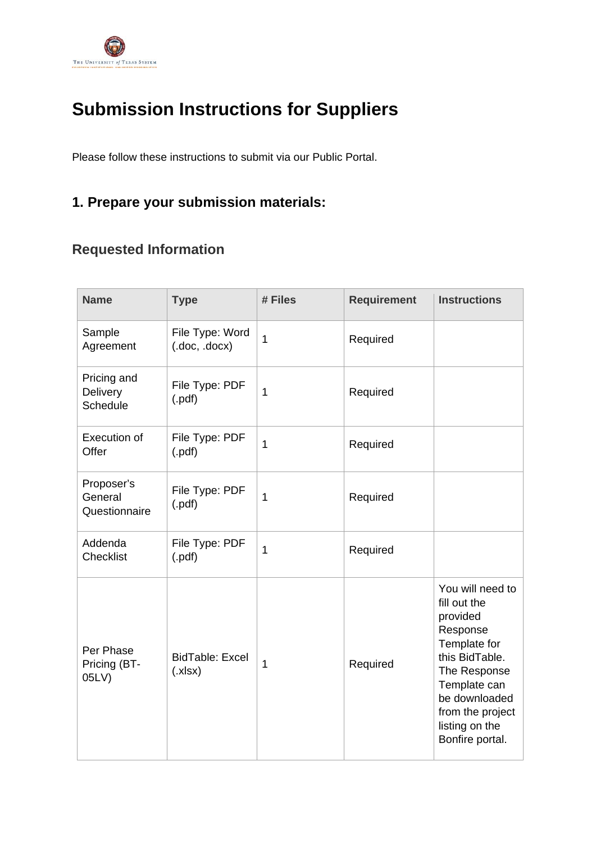

# **Submission Instructions for Suppliers**

Please follow these instructions to submit via our Public Portal.

# **1. Prepare your submission materials:**

# **Requested Information**

| <b>Name</b>                            | <b>Type</b>                      | # Files      | <b>Requirement</b> | <b>Instructions</b>                                                                                                                                                                                  |
|----------------------------------------|----------------------------------|--------------|--------------------|------------------------------------------------------------------------------------------------------------------------------------------------------------------------------------------------------|
| Sample<br>Agreement                    | File Type: Word<br>(doc, docx)   | $\mathbf{1}$ | Required           |                                                                                                                                                                                                      |
| Pricing and<br>Delivery<br>Schedule    | File Type: PDF<br>(.pdf)         | 1            | Required           |                                                                                                                                                                                                      |
| <b>Execution of</b><br>Offer           | File Type: PDF<br>(.pdf)         | $\mathbf{1}$ | Required           |                                                                                                                                                                                                      |
| Proposer's<br>General<br>Questionnaire | File Type: PDF<br>(.pdf)         | 1            | Required           |                                                                                                                                                                                                      |
| Addenda<br>Checklist                   | File Type: PDF<br>$($ .pdf $)$   | $\mathbf{1}$ | Required           |                                                                                                                                                                                                      |
| Per Phase<br>Pricing (BT-<br>05LV)     | <b>BidTable: Excel</b><br>(x sx) | $\mathbf{1}$ | Required           | You will need to<br>fill out the<br>provided<br>Response<br>Template for<br>this BidTable.<br>The Response<br>Template can<br>be downloaded<br>from the project<br>listing on the<br>Bonfire portal. |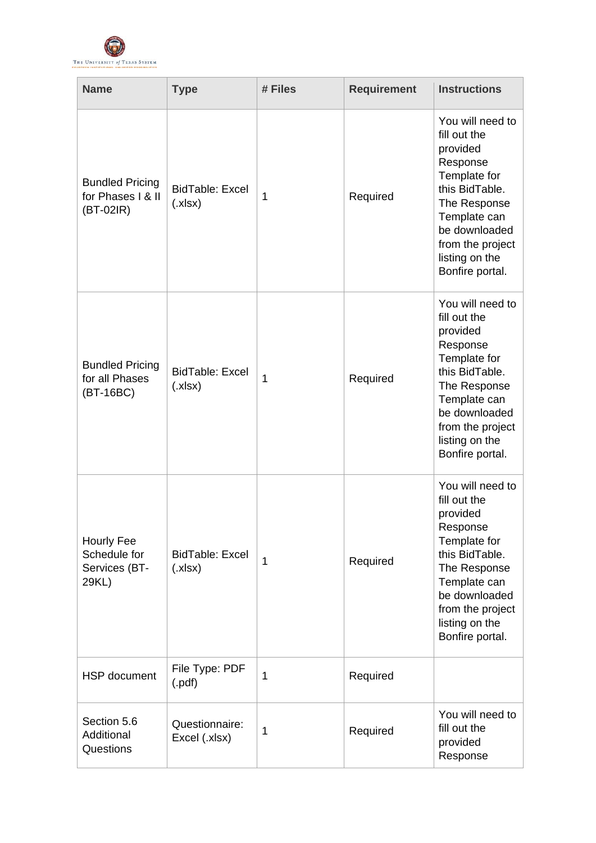

| <b>Name</b>                                                | <b>Type</b>                      | # Files      | <b>Requirement</b> | <b>Instructions</b>                                                                                                                                                                                  |
|------------------------------------------------------------|----------------------------------|--------------|--------------------|------------------------------------------------------------------------------------------------------------------------------------------------------------------------------------------------------|
| <b>Bundled Pricing</b><br>for Phases   & II<br>$(BT-02IR)$ | <b>BidTable: Excel</b><br>(x sx) | $\mathbf{1}$ | Required           | You will need to<br>fill out the<br>provided<br>Response<br>Template for<br>this BidTable.<br>The Response<br>Template can<br>be downloaded<br>from the project<br>listing on the<br>Bonfire portal. |
| <b>Bundled Pricing</b><br>for all Phases<br>(BT-16BC)      | <b>BidTable: Excel</b><br>(x sx) | $\mathbf{1}$ | Required           | You will need to<br>fill out the<br>provided<br>Response<br>Template for<br>this BidTable.<br>The Response<br>Template can<br>be downloaded<br>from the project<br>listing on the<br>Bonfire portal. |
| Hourly Fee<br>Schedule for<br>Services (BT-<br>29KL)       | <b>BidTable: Excel</b><br>(x sx) | 1            | Required           | You will need to<br>fill out the<br>provided<br>Response<br>Template for<br>this BidTable.<br>The Response<br>Template can<br>be downloaded<br>from the project<br>listing on the<br>Bonfire portal. |
| HSP document                                               | File Type: PDF<br>$($ .pdf $)$   | $\mathbf{1}$ | Required           |                                                                                                                                                                                                      |
| Section 5.6<br>Additional<br>Questions                     | Questionnaire:<br>Excel (.xlsx)  | 1            | Required           | You will need to<br>fill out the<br>provided<br>Response                                                                                                                                             |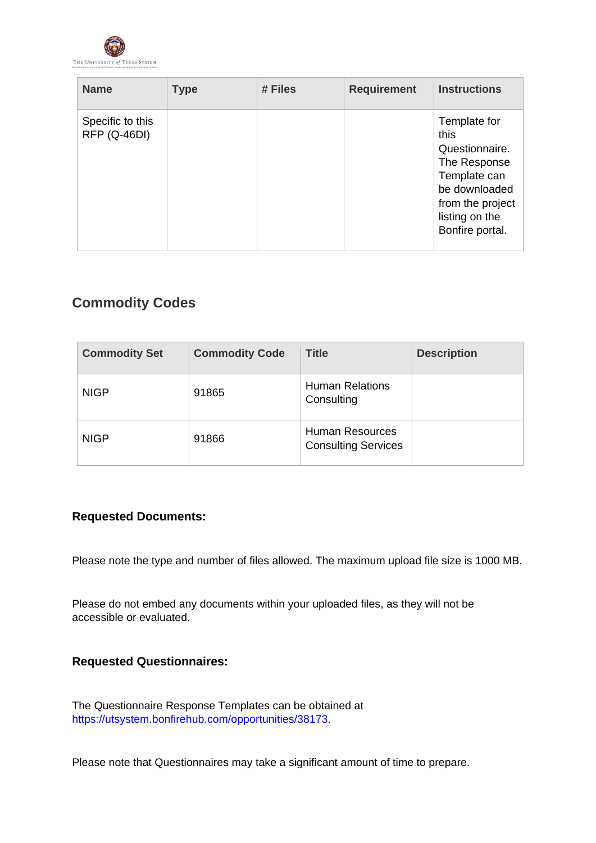

| <b>Name</b>                      | <b>Type</b> | # Files | <b>Requirement</b> | <b>Instructions</b>                                                                                                                              |
|----------------------------------|-------------|---------|--------------------|--------------------------------------------------------------------------------------------------------------------------------------------------|
| Specific to this<br>RFP (Q-46DI) |             |         |                    | Template for<br>this<br>Questionnaire.<br>The Response<br>Template can<br>be downloaded<br>from the project<br>listing on the<br>Bonfire portal. |

## **Commodity Codes**

| <b>Commodity Set</b> | <b>Commodity Code</b> | Title                                                | <b>Description</b> |
|----------------------|-----------------------|------------------------------------------------------|--------------------|
| <b>NIGP</b>          | 91865                 | <b>Human Relations</b><br>Consulting                 |                    |
| <b>NIGP</b>          | 91866                 | <b>Human Resources</b><br><b>Consulting Services</b> |                    |

### **Requested Documents:**

Please note the type and number of files allowed. The maximum upload file size is 1000 MB.

Please do not embed any documents within your uploaded files, as they will not be accessible or evaluated.

### **Requested Questionnaires:**

The Questionnaire Response Templates can be obtained at [https://utsystem.bonfirehub.com/opportunities/38173.](https://utsystem.bonfirehub.com/opportunities/38173)

Please note that Questionnaires may take a significant amount of time to prepare.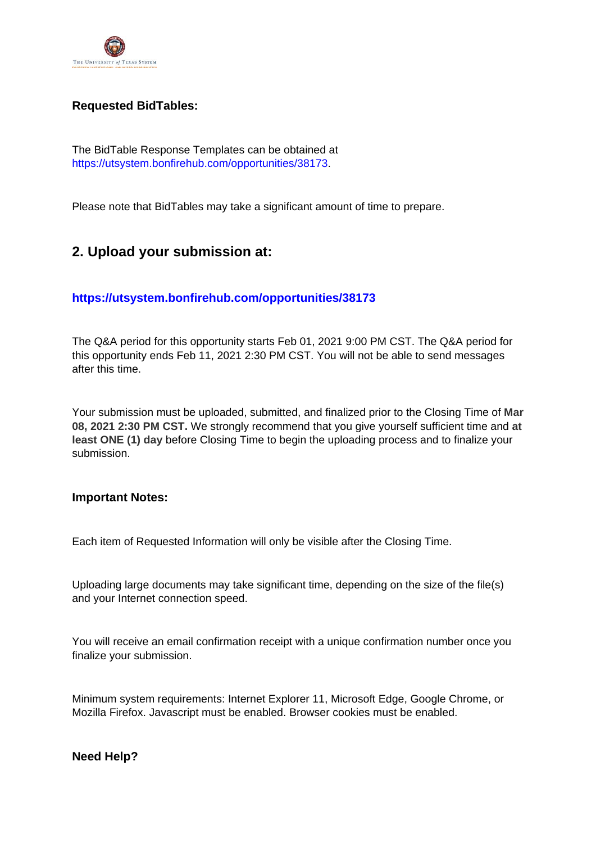

### **Requested BidTables:**

The BidTable Response Templates can be obtained at [https://utsystem.bonfirehub.com/opportunities/38173.](https://utsystem.bonfirehub.com/opportunities/38173)

Please note that BidTables may take a significant amount of time to prepare.

## **2. Upload your submission at:**

### **<https://utsystem.bonfirehub.com/opportunities/38173>**

The Q&A period for this opportunity starts Feb 01, 2021 9:00 PM CST. The Q&A period for this opportunity ends Feb 11, 2021 2:30 PM CST. You will not be able to send messages after this time.

Your submission must be uploaded, submitted, and finalized prior to the Closing Time of **Mar 08, 2021 2:30 PM CST.** We strongly recommend that you give yourself sufficient time and **at least ONE (1) day** before Closing Time to begin the uploading process and to finalize your submission.

### **Important Notes:**

Each item of Requested Information will only be visible after the Closing Time.

Uploading large documents may take significant time, depending on the size of the file(s) and your Internet connection speed.

You will receive an email confirmation receipt with a unique confirmation number once you finalize your submission.

Minimum system requirements: Internet Explorer 11, Microsoft Edge, Google Chrome, or Mozilla Firefox. Javascript must be enabled. Browser cookies must be enabled.

### **Need Help?**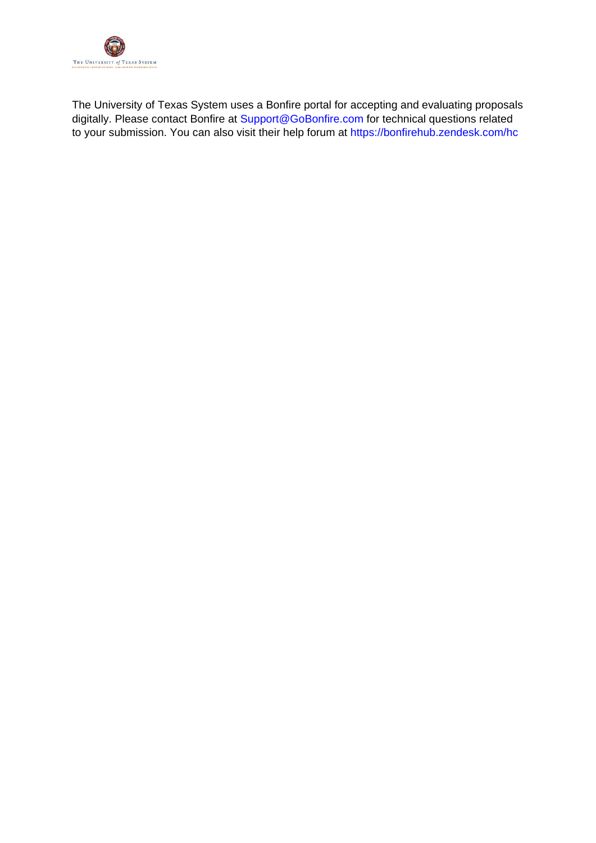

The University of Texas System uses a Bonfire portal for accepting and evaluating proposals digitally. Please contact Bonfire at [Support@GoBonfire.com](mailto:support@gobonfire.com) for technical questions related to your submission. You can also visit their help forum at<https://bonfirehub.zendesk.com/hc>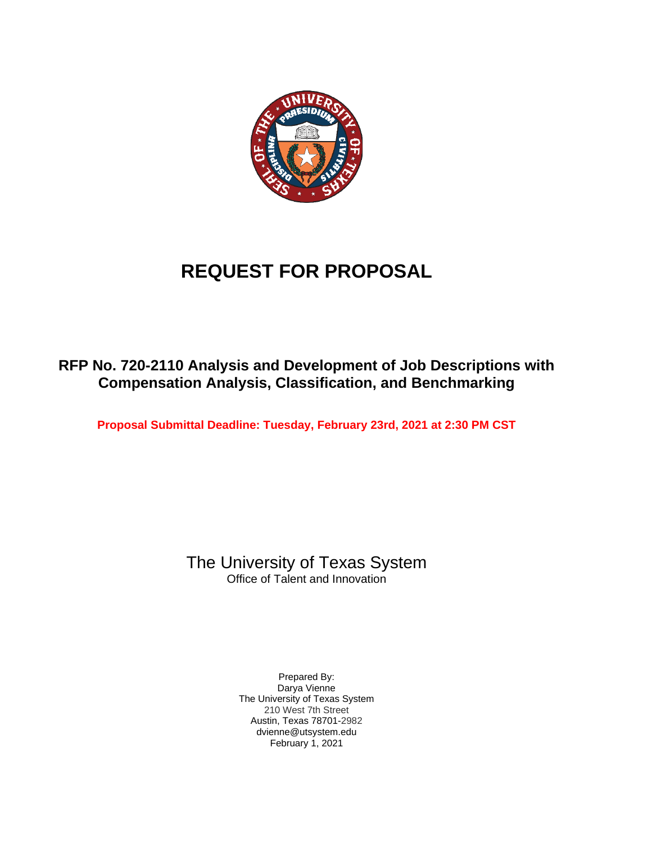

# **REQUEST FOR PROPOSAL**

# **RFP No. 720-2110 Analysis and Development of Job Descriptions with Compensation Analysis, Classification, and Benchmarking**

**Proposal Submittal Deadline: Tuesday, February 23rd, 2021 at 2:30 PM CST**

# The University of Texas System

Office of Talent and Innovation

Prepared By: Darya Vienne The University of Texas System 210 West 7th Street Austin, Texas 78701-2982 dvienne@utsystem.edu February 1, 2021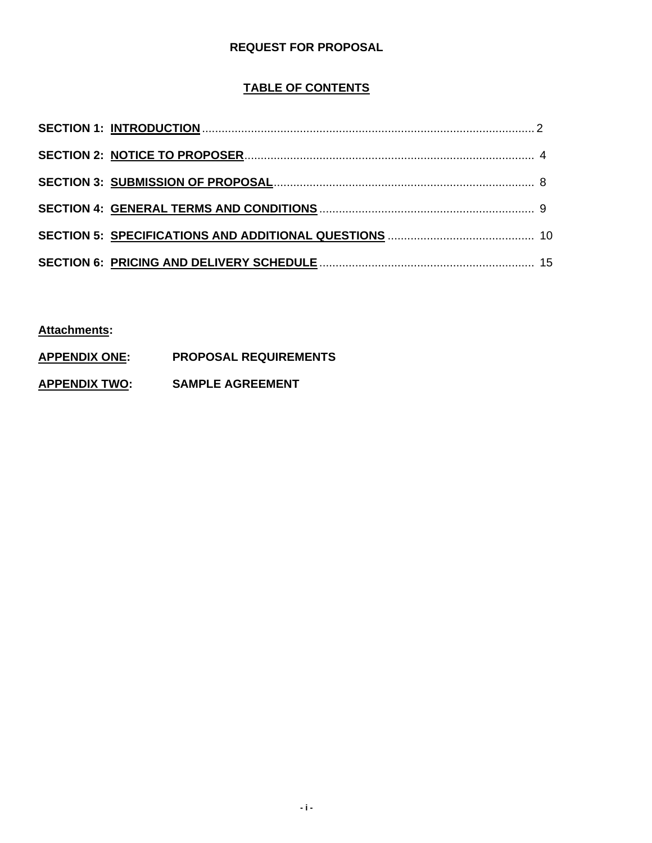### **REQUEST FOR PROPOSAL**

### **TABLE OF CONTENTS**

**Attachments:**

- **APPENDIX ONE: PROPOSAL REQUIREMENTS**
- **APPENDIX TWO: SAMPLE AGREEMENT**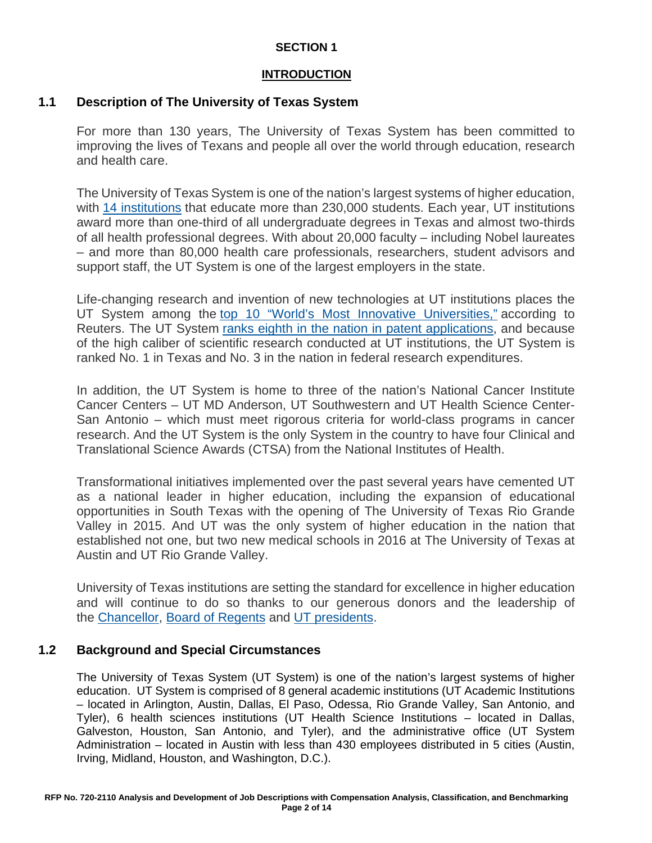### **INTRODUCTION**

### **1.1 Description of The University of Texas System**

For more than 130 years, The University of Texas System has been committed to improving the lives of Texans and people all over the world through education, research and health care.

The University of Texas System is one of the nation's largest systems of higher education, with [14 institutions](https://www.utsystem.edu/institutions) that educate more than 230,000 students. Each year, UT institutions award more than one-third of all undergraduate degrees in Texas and almost two-thirds of all health professional degrees. With about 20,000 faculty – including Nobel laureates – and more than 80,000 health care professionals, researchers, student advisors and support staff, the UT System is one of the largest employers in the state.

Life-changing research and invention of new technologies at UT institutions places the UT System among the [top 10 "World's Most Innovative Universities,"](https://www.utsystem.edu/news/2017/09/28/ut-system-among-top-10-most-innovative-universities-world) according to Reuters. The UT System [ranks eighth in the nation in patent applications,](https://www.utsystem.edu/news/2017/06/07/ut-system-ranks-8th-globally-most-us-patents-granted-2016) and because of the high caliber of scientific research conducted at UT institutions, the UT System is ranked No. 1 in Texas and No. 3 in the nation in federal research expenditures.

In addition, the UT System is home to three of the nation's National Cancer Institute Cancer Centers – UT MD Anderson, UT Southwestern and UT Health Science Center-San Antonio – which must meet rigorous criteria for world-class programs in cancer research. And the UT System is the only System in the country to have four Clinical and Translational Science Awards (CTSA) from the National Institutes of Health.

Transformational initiatives implemented over the past several years have cemented UT as a national leader in higher education, including the expansion of educational opportunities in South Texas with the opening of The University of Texas Rio Grande Valley in 2015. And UT was the only system of higher education in the nation that established not one, but two new medical schools in 2016 at The University of Texas at Austin and UT Rio Grande Valley.

University of Texas institutions are setting the standard for excellence in higher education and will continue to do so thanks to our generous donors and the leadership of the [Chancellor,](https://www.utsystem.edu/chancellor) [Board of Regents](https://www.utsystem.edu/regents) and [UT presidents.](https://www.utsystem.edu/institutions)

### **1.2 Background and Special Circumstances**

The University of Texas System (UT System) is one of the nation's largest systems of higher education. UT System is comprised of 8 general academic institutions (UT Academic Institutions – located in Arlington, Austin, Dallas, El Paso, Odessa, Rio Grande Valley, San Antonio, and Tyler), 6 health sciences institutions (UT Health Science Institutions – located in Dallas, Galveston, Houston, San Antonio, and Tyler), and the administrative office (UT System Administration – located in Austin with less than 430 employees distributed in 5 cities (Austin, Irving, Midland, Houston, and Washington, D.C.).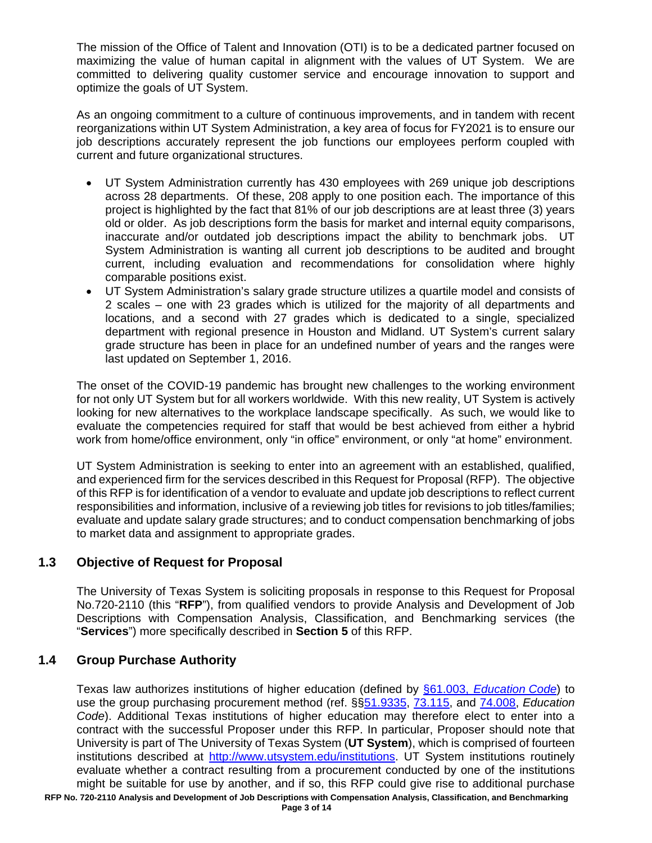The mission of the Office of Talent and Innovation (OTI) is to be a dedicated partner focused on maximizing the value of human capital in alignment with the values of UT System. We are committed to delivering quality customer service and encourage innovation to support and optimize the goals of UT System.

As an ongoing commitment to a culture of continuous improvements, and in tandem with recent reorganizations within UT System Administration, a key area of focus for FY2021 is to ensure our job descriptions accurately represent the job functions our employees perform coupled with current and future organizational structures.

- UT System Administration currently has 430 employees with 269 unique job descriptions across 28 departments. Of these, 208 apply to one position each. The importance of this project is highlighted by the fact that 81% of our job descriptions are at least three (3) years old or older. As job descriptions form the basis for market and internal equity comparisons, inaccurate and/or outdated job descriptions impact the ability to benchmark jobs. UT System Administration is wanting all current job descriptions to be audited and brought current, including evaluation and recommendations for consolidation where highly comparable positions exist.
- UT System Administration's salary grade structure utilizes a quartile model and consists of 2 scales – one with 23 grades which is utilized for the majority of all departments and locations, and a second with 27 grades which is dedicated to a single, specialized department with regional presence in Houston and Midland. UT System's current salary grade structure has been in place for an undefined number of years and the ranges were last updated on September 1, 2016.

The onset of the COVID-19 pandemic has brought new challenges to the working environment for not only UT System but for all workers worldwide. With this new reality, UT System is actively looking for new alternatives to the workplace landscape specifically. As such, we would like to evaluate the competencies required for staff that would be best achieved from either a hybrid work from home/office environment, only "in office" environment, or only "at home" environment.

UT System Administration is seeking to enter into an agreement with an established, qualified, and experienced firm for the services described in this Request for Proposal (RFP). The objective of this RFP is for identification of a vendor to evaluate and update job descriptions to reflect current responsibilities and information, inclusive of a reviewing job titles for revisions to job titles/families; evaluate and update salary grade structures; and to conduct compensation benchmarking of jobs to market data and assignment to appropriate grades.

### **1.3 Objective of Request for Proposal**

The University of Texas System is soliciting proposals in response to this Request for Proposal No.720-2110 (this "**RFP**"), from qualified vendors to provide Analysis and Development of Job Descriptions with Compensation Analysis, Classification, and Benchmarking services (the "**Services**") more specifically described in **Section 5** of this RFP.

### **1.4 Group Purchase Authority**

Texas law authorizes institutions of higher education (defined by §61.003, *[Education](http://www.statutes.legis.state.tx.us/Docs/ED/htm/ED.61.htm#61.003) [Code](http://www.statutes.legis.state.tx.us/Docs/ED/htm/ED.61.htm#61.003)*) to use the group purchasing procurement method (ref. §[§51.9335,](http://www.statutes.legis.state.tx.us/Docs/ED/htm/ED.51.htm#51.9335) [73.115,](http://www.statutes.legis.state.tx.us/Docs/ED/htm/ED.73.htm#73.115) and [74.008,](http://www.statutes.legis.state.tx.us/Docs/ED/htm/ED.74.htm#74.008) *Education Code*). Additional Texas institutions of higher education may therefore elect to enter into a contract with the successful Proposer under this RFP. In particular, Proposer should note that University is part of The University of Texas System (**UT System**), which is comprised of fourteen institutions described at [http://www.utsystem.edu/institutions.](http://www.utsystem.edu/institutions) UT System institutions routinely evaluate whether a contract resulting from a procurement conducted by one of the institutions might be suitable for use by another, and if so, this RFP could give rise to additional purchase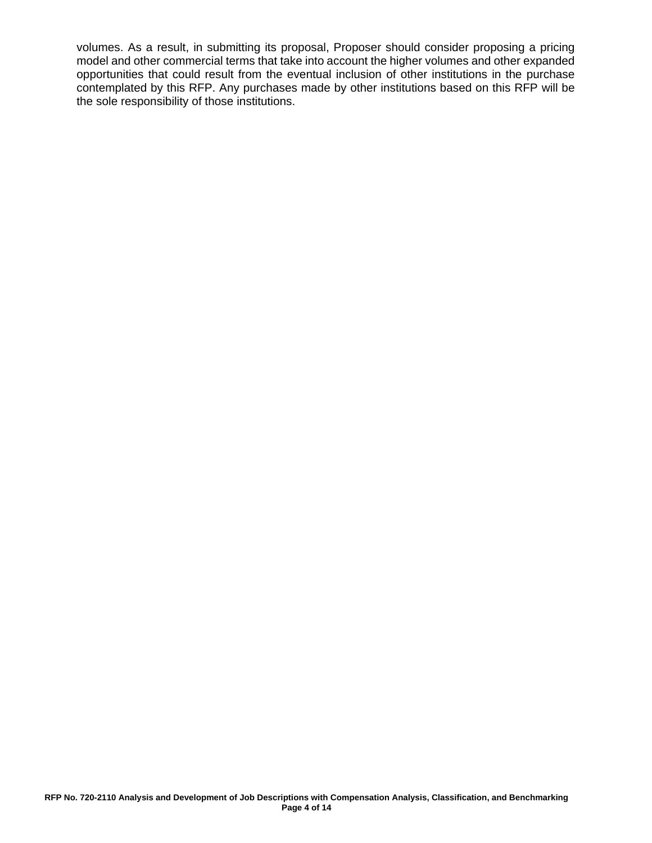volumes. As a result, in submitting its proposal, Proposer should consider proposing a pricing model and other commercial terms that take into account the higher volumes and other expanded opportunities that could result from the eventual inclusion of other institutions in the purchase contemplated by this RFP. Any purchases made by other institutions based on this RFP will be the sole responsibility of those institutions.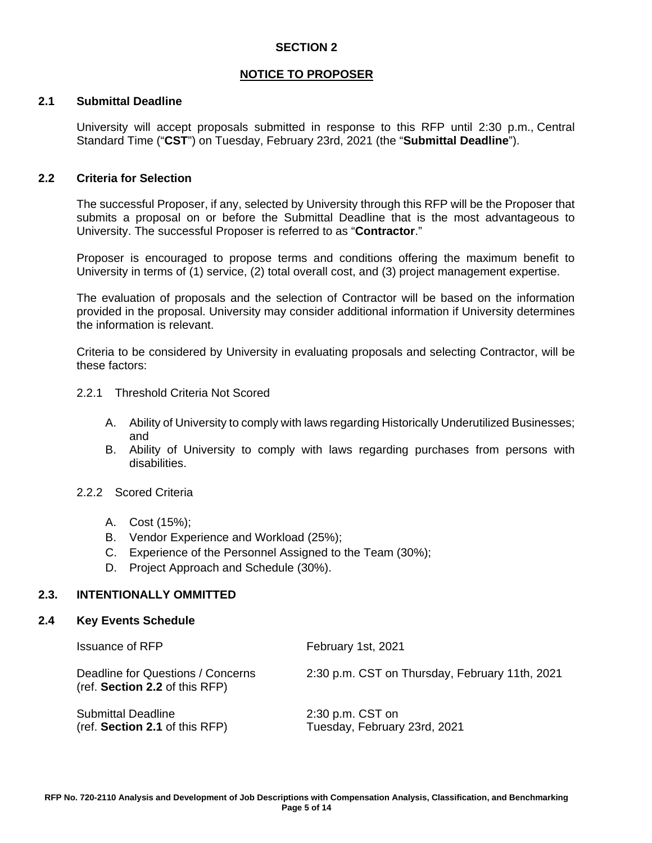### **NOTICE TO PROPOSER**

### **2.1 Submittal Deadline**

University will accept proposals submitted in response to this RFP until 2:30 p.m., Central Standard Time ("**CST**") on Tuesday, February 23rd, 2021 (the "**Submittal Deadline**").

#### **2.2 Criteria for Selection**

The successful Proposer, if any, selected by University through this RFP will be the Proposer that submits a proposal on or before the Submittal Deadline that is the most advantageous to University. The successful Proposer is referred to as "**Contractor**."

Proposer is encouraged to propose terms and conditions offering the maximum benefit to University in terms of (1) service, (2) total overall cost, and (3) project management expertise.

The evaluation of proposals and the selection of Contractor will be based on the information provided in the proposal. University may consider additional information if University determines the information is relevant.

Criteria to be considered by University in evaluating proposals and selecting Contractor, will be these factors:

- 2.2.1 Threshold Criteria Not Scored
	- A. Ability of University to comply with laws regarding Historically Underutilized Businesses; and
	- B. Ability of University to comply with laws regarding purchases from persons with disabilities.
- 2.2.2 Scored Criteria
	- A. Cost (15%);
	- B. Vendor Experience and Workload (25%);
	- C. Experience of the Personnel Assigned to the Team (30%);
	- D. Project Approach and Schedule (30%).

#### **2.3. INTENTIONALLY OMMITTED**

#### **2.4 Key Events Schedule**

| <b>Issuance of RFP</b>                                              | February 1st, 2021                                 |
|---------------------------------------------------------------------|----------------------------------------------------|
| Deadline for Questions / Concerns<br>(ref. Section 2.2 of this RFP) | 2:30 p.m. CST on Thursday, February 11th, 2021     |
| <b>Submittal Deadline</b><br>(ref. Section 2.1 of this RFP)         | $2:30$ p.m. CST on<br>Tuesday, February 23rd, 2021 |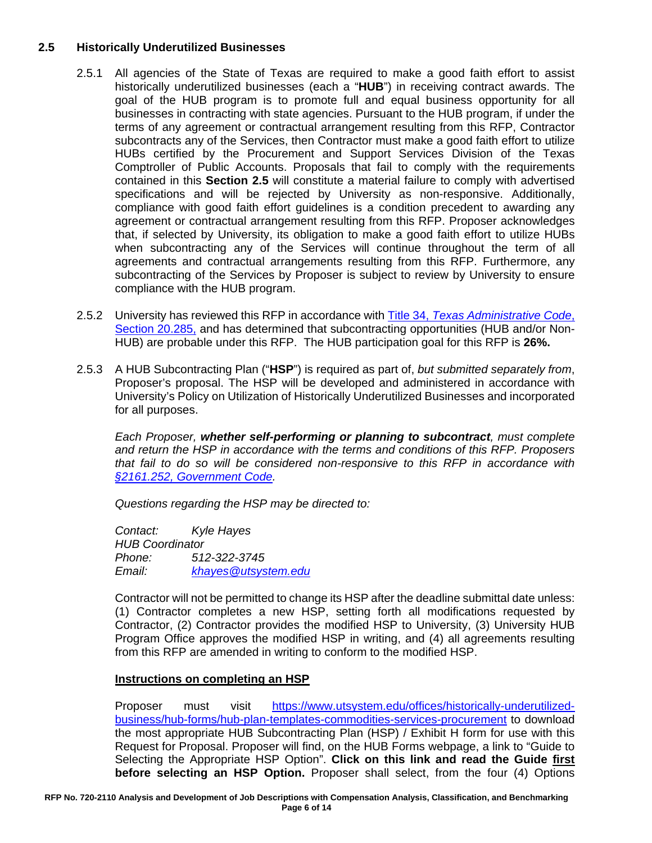### **2.5 Historically Underutilized Businesses**

- 2.5.1 All agencies of the State of Texas are required to make a good faith effort to assist historically underutilized businesses (each a "**HUB**") in receiving contract awards. The goal of the HUB program is to promote full and equal business opportunity for all businesses in contracting with state agencies. Pursuant to the HUB program, if under the terms of any agreement or contractual arrangement resulting from this RFP, Contractor subcontracts any of the Services, then Contractor must make a good faith effort to utilize HUBs certified by the Procurement and Support Services Division of the Texas Comptroller of Public Accounts. Proposals that fail to comply with the requirements contained in this **Section 2.5** will constitute a material failure to comply with advertised specifications and will be rejected by University as non-responsive. Additionally, compliance with good faith effort guidelines is a condition precedent to awarding any agreement or contractual arrangement resulting from this RFP. Proposer acknowledges that, if selected by University, its obligation to make a good faith effort to utilize HUBs when subcontracting any of the Services will continue throughout the term of all agreements and contractual arrangements resulting from this RFP. Furthermore, any subcontracting of the Services by Proposer is subject to review by University to ensure compliance with the HUB program.
- 2.5.2 University has reviewed this RFP in accordance with Title 34, *[Texas Administrative Code](http://texreg.sos.state.tx.us/public/readtac$ext.TacPage?sl=R&app=9&p_dir=&p_rloc=&p_tloc=&p_ploc=&pg=1&p_tac=&ti=34&pt=1&ch=20&rl=284)*[,](http://texreg.sos.state.tx.us/public/readtac$ext.TacPage?sl=R&app=9&p_dir=&p_rloc=&p_tloc=&p_ploc=&pg=1&p_tac=&ti=34&pt=1&ch=20&rl=284)  [Section](http://texreg.sos.state.tx.us/public/readtac$ext.TacPage?sl=R&app=9&p_dir=&p_rloc=&p_tloc=&p_ploc=&pg=1&p_tac=&ti=34&pt=1&ch=20&rl=284) 20.285, and has determined that subcontracting opportunities (HUB and/or Non-HUB) are probable under this RFP. The HUB participation goal for this RFP is **26%.**
- 2.5.3 A HUB Subcontracting Plan ("**HSP**") is required as part of, *but submitted separately from*, Proposer's proposal. The HSP will be developed and administered in accordance with University's Policy on Utilization of Historically Underutilized Businesses and incorporated for all purposes.

*Each Proposer, whether self-performing or planning to subcontract, must complete and return the HSP in accordance with the terms and conditions of this RFP. Proposers that fail to do so will be considered non-responsive to this RFP in accordance with [§2161.252, Government Code.](http://www.statutes.legis.state.tx.us/Docs/GV/htm/GV.2161.htm#2161.252)*

*Questions regarding the HSP may be directed to:*

*Contact: Kyle Hayes HUB Coordinator Phone: 512-322-3745 Email: [khayes@utsystem.edu](mailto:khayes@utsystem.edu)*

Contractor will not be permitted to change its HSP after the deadline submittal date unless: (1) Contractor completes a new HSP, setting forth all modifications requested by Contractor, (2) Contractor provides the modified HSP to University, (3) University HUB Program Office approves the modified HSP in writing, and (4) all agreements resulting from this RFP are amended in writing to conform to the modified HSP.

### **Instructions on completing an HSP**

Proposer must visit [https://www.utsystem.edu/offices/historically-underutilized](https://www.utsystem.edu/offices/historically-underutilized-business/hub-forms/hub-plan-templates-commodities-services-procurement)[business/hub-forms/hub-plan-templates-commodities-services-procurement](https://www.utsystem.edu/offices/historically-underutilized-business/hub-forms/hub-plan-templates-commodities-services-procurement) to download the most appropriate HUB Subcontracting Plan (HSP) / Exhibit H form for use with this Request for Proposal. Proposer will find, on the HUB Forms webpage, a link to "Guide to Selecting the Appropriate HSP Option". **Click on this link and read the Guide first before selecting an HSP Option.** Proposer shall select, from the four (4) Options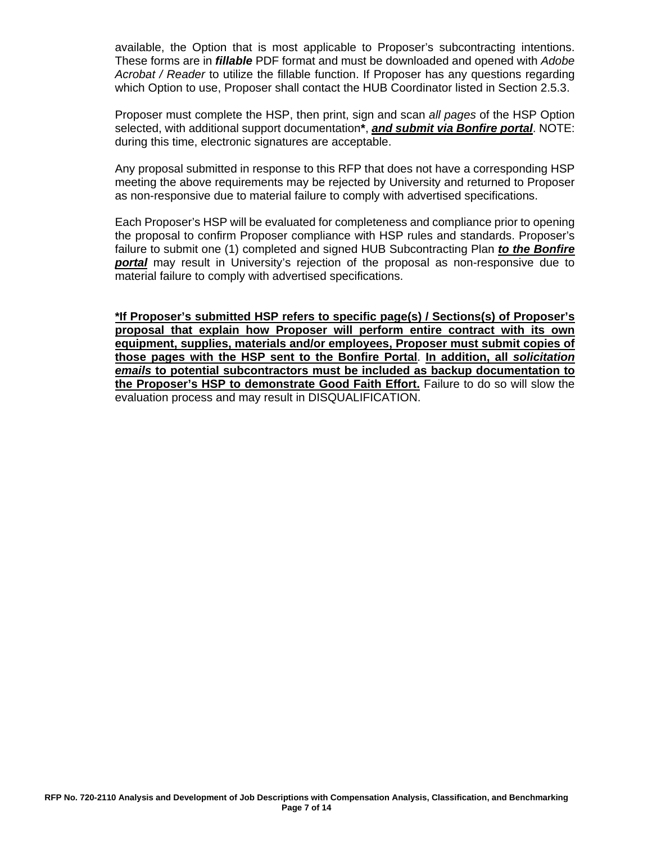available, the Option that is most applicable to Proposer's subcontracting intentions. These forms are in *fillable* PDF format and must be downloaded and opened with *Adobe Acrobat / Reader* to utilize the fillable function. If Proposer has any questions regarding which Option to use, Proposer shall contact the HUB Coordinator listed in Section 2.5.3.

Proposer must complete the HSP, then print, sign and scan *all pages* of the HSP Option selected, with additional support documentation**\***, *and submit via Bonfire portal*. NOTE: during this time, electronic signatures are acceptable.

Any proposal submitted in response to this RFP that does not have a corresponding HSP meeting the above requirements may be rejected by University and returned to Proposer as non-responsive due to material failure to comply with advertised specifications.

Each Proposer's HSP will be evaluated for completeness and compliance prior to opening the proposal to confirm Proposer compliance with HSP rules and standards. Proposer's failure to submit one (1) completed and signed HUB Subcontracting Plan *to the Bonfire portal* may result in University's rejection of the proposal as non-responsive due to material failure to comply with advertised specifications.

**\*If Proposer's submitted HSP refers to specific page(s) / Sections(s) of Proposer's proposal that explain how Proposer will perform entire contract with its own equipment, supplies, materials and/or employees, Proposer must submit copies of those pages with the HSP sent to the Bonfire Portal**. **In addition, all** *solicitation emails* **to potential subcontractors must be included as backup documentation to the Proposer's HSP to demonstrate Good Faith Effort.** Failure to do so will slow the evaluation process and may result in DISQUALIFICATION.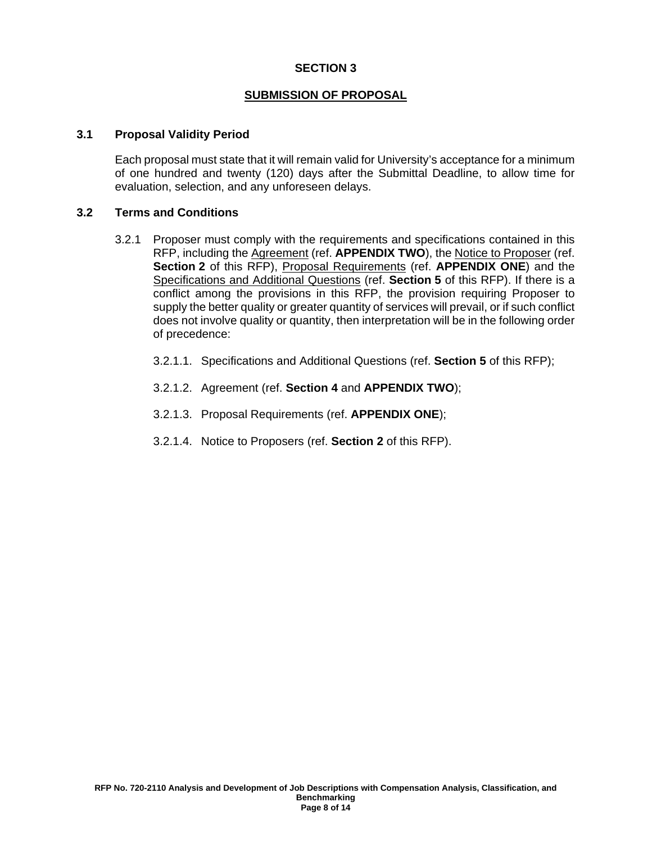#### **SUBMISSION OF PROPOSAL**

#### **3.1 Proposal Validity Period**

Each proposal must state that it will remain valid for University's acceptance for a minimum of one hundred and twenty (120) days after the Submittal Deadline, to allow time for evaluation, selection, and any unforeseen delays.

#### **3.2 Terms and Conditions**

- 3.2.1 Proposer must comply with the requirements and specifications contained in this RFP, including the Agreement (ref. **APPENDIX TWO**), the Notice to Proposer (ref. **Section 2** of this RFP), Proposal Requirements (ref. **APPENDIX ONE**) and the Specifications and Additional Questions (ref. **Section 5** of this RFP). If there is a conflict among the provisions in this RFP, the provision requiring Proposer to supply the better quality or greater quantity of services will prevail, or if such conflict does not involve quality or quantity, then interpretation will be in the following order of precedence:
	- 3.2.1.1. Specifications and Additional Questions (ref. **Section 5** of this RFP);
	- 3.2.1.2. Agreement (ref. **Section 4** and **APPENDIX TWO**);
	- 3.2.1.3. Proposal Requirements (ref. **APPENDIX ONE**);
	- 3.2.1.4. Notice to Proposers (ref. **Section 2** of this RFP).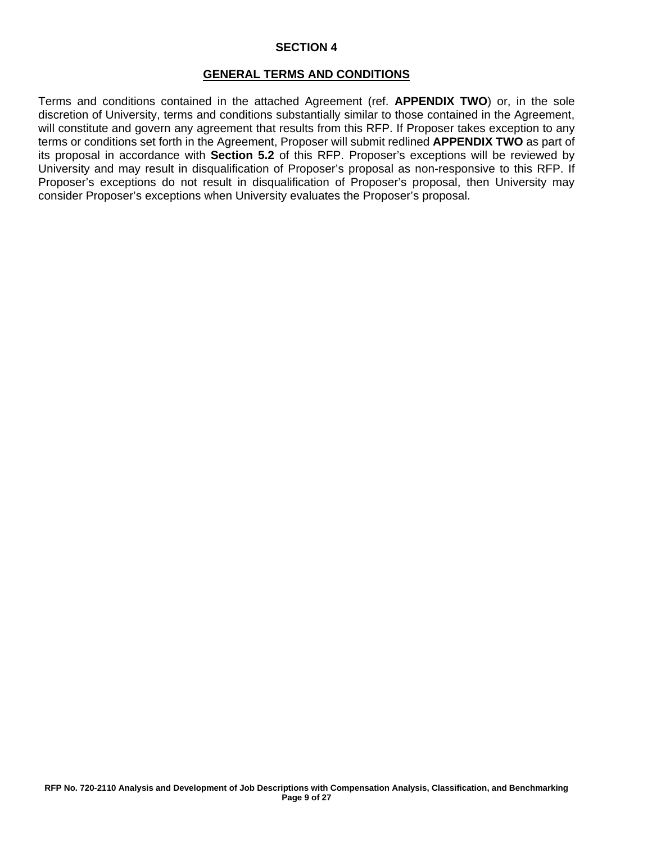#### **GENERAL TERMS AND CONDITIONS**

Terms and conditions contained in the attached Agreement (ref. **APPENDIX TWO**) or, in the sole discretion of University, terms and conditions substantially similar to those contained in the Agreement, will constitute and govern any agreement that results from this RFP. If Proposer takes exception to any terms or conditions set forth in the Agreement, Proposer will submit redlined **APPENDIX TWO** as part of its proposal in accordance with **Section 5.2** of this RFP. Proposer's exceptions will be reviewed by University and may result in disqualification of Proposer's proposal as non-responsive to this RFP. If Proposer's exceptions do not result in disqualification of Proposer's proposal, then University may consider Proposer's exceptions when University evaluates the Proposer's proposal.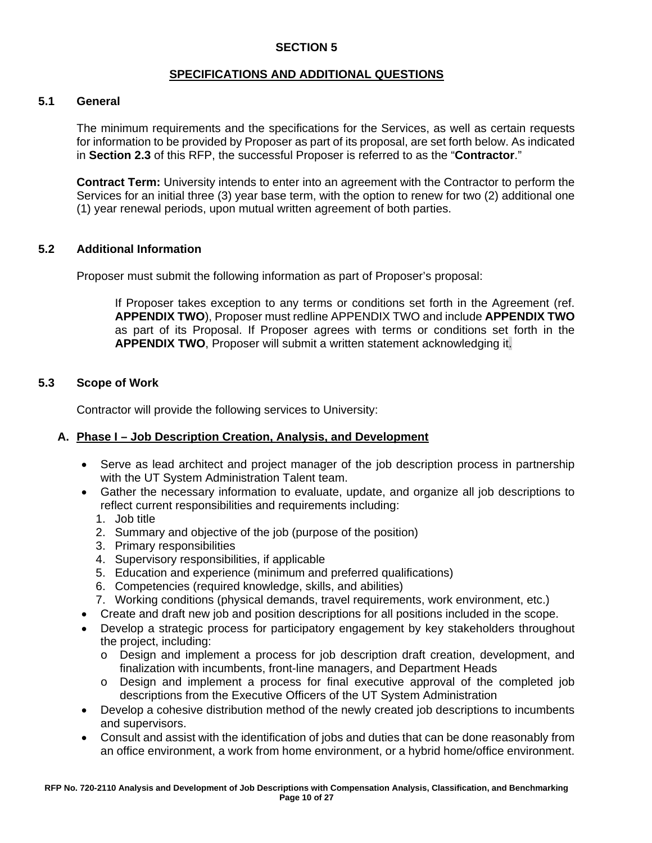### **SPECIFICATIONS AND ADDITIONAL QUESTIONS**

### **5.1 General**

The minimum requirements and the specifications for the Services, as well as certain requests for information to be provided by Proposer as part of its proposal, are set forth below. As indicated in **Section 2.3** of this RFP, the successful Proposer is referred to as the "**Contractor**."

**Contract Term:** University intends to enter into an agreement with the Contractor to perform the Services for an initial three (3) year base term, with the option to renew for two (2) additional one (1) year renewal periods, upon mutual written agreement of both parties.

#### **5.2 Additional Information**

Proposer must submit the following information as part of Proposer's proposal:

If Proposer takes exception to any terms or conditions set forth in the Agreement (ref. **APPENDIX TWO**), Proposer must redline APPENDIX TWO and include **APPENDIX TWO** as part of its Proposal. If Proposer agrees with terms or conditions set forth in the **APPENDIX TWO**, Proposer will submit a written statement acknowledging it.

#### **5.3 Scope of Work**

Contractor will provide the following services to University:

#### **A. Phase I – Job Description Creation, Analysis, and Development**

- Serve as lead architect and project manager of the job description process in partnership with the UT System Administration Talent team.
- Gather the necessary information to evaluate, update, and organize all job descriptions to reflect current responsibilities and requirements including:
	- 1. Job title
	- 2. Summary and objective of the job (purpose of the position)
	- 3. Primary responsibilities
	- 4. Supervisory responsibilities, if applicable
	- 5. Education and experience (minimum and preferred qualifications)
	- 6. Competencies (required knowledge, skills, and abilities)
	- 7. Working conditions (physical demands, travel requirements, work environment, etc.)
- Create and draft new job and position descriptions for all positions included in the scope.
- Develop a strategic process for participatory engagement by key stakeholders throughout the project, including:
	- o Design and implement a process for job description draft creation, development, and finalization with incumbents, front-line managers, and Department Heads
	- o Design and implement a process for final executive approval of the completed job descriptions from the Executive Officers of the UT System Administration
- Develop a cohesive distribution method of the newly created job descriptions to incumbents and supervisors.
- Consult and assist with the identification of jobs and duties that can be done reasonably from an office environment, a work from home environment, or a hybrid home/office environment.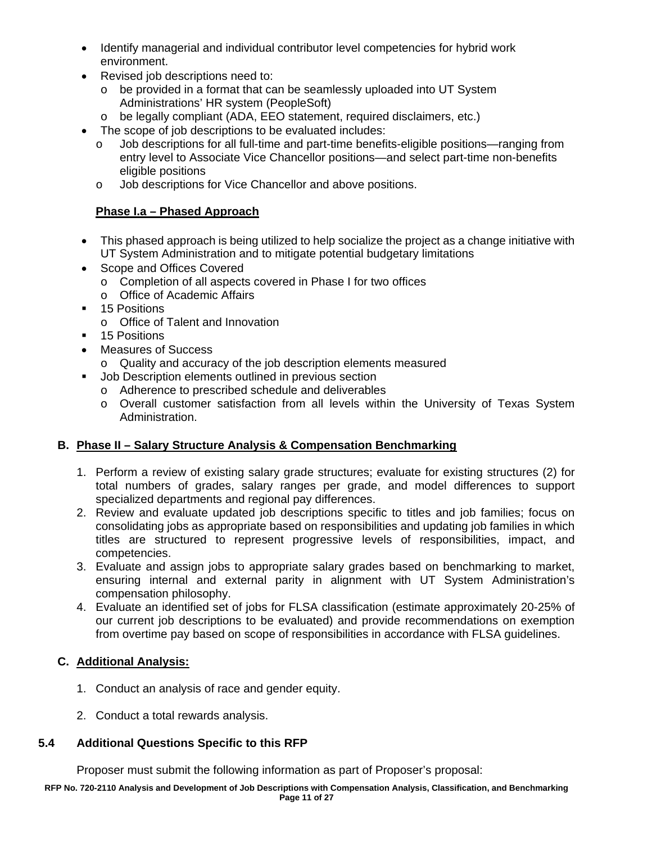- Identify managerial and individual contributor level competencies for hybrid work environment.
- Revised job descriptions need to:
	- o be provided in a format that can be seamlessly uploaded into UT System Administrations' HR system (PeopleSoft)
	- o be legally compliant (ADA, EEO statement, required disclaimers, etc.)
- The scope of job descriptions to be evaluated includes:
	- o Job descriptions for all full-time and part-time benefits-eligible positions—ranging from entry level to Associate Vice Chancellor positions—and select part-time non-benefits eligible positions
	- o Job descriptions for Vice Chancellor and above positions.

### **Phase I.a – Phased Approach**

- This phased approach is being utilized to help socialize the project as a change initiative with UT System Administration and to mitigate potential budgetary limitations
- Scope and Offices Covered
	- o Completion of all aspects covered in Phase I for two offices
	- o Office of Academic Affairs
- 15 Positions
	- o Office of Talent and Innovation
- **15 Positions**
- Measures of Success
	- o Quality and accuracy of the job description elements measured
- **Job Description elements outlined in previous section** 
	- o Adherence to prescribed schedule and deliverables
	- o Overall customer satisfaction from all levels within the University of Texas System Administration.

### **B. Phase II – Salary Structure Analysis & Compensation Benchmarking**

- 1. Perform a review of existing salary grade structures; evaluate for existing structures (2) for total numbers of grades, salary ranges per grade, and model differences to support specialized departments and regional pay differences.
- 2. Review and evaluate updated job descriptions specific to titles and job families; focus on consolidating jobs as appropriate based on responsibilities and updating job families in which titles are structured to represent progressive levels of responsibilities, impact, and competencies.
- 3. Evaluate and assign jobs to appropriate salary grades based on benchmarking to market, ensuring internal and external parity in alignment with UT System Administration's compensation philosophy.
- 4. Evaluate an identified set of jobs for FLSA classification (estimate approximately 20-25% of our current job descriptions to be evaluated) and provide recommendations on exemption from overtime pay based on scope of responsibilities in accordance with FLSA guidelines.

### **C. Additional Analysis:**

- 1. Conduct an analysis of race and gender equity.
- 2. Conduct a total rewards analysis.

### **5.4 Additional Questions Specific to this RFP**

Proposer must submit the following information as part of Proposer's proposal: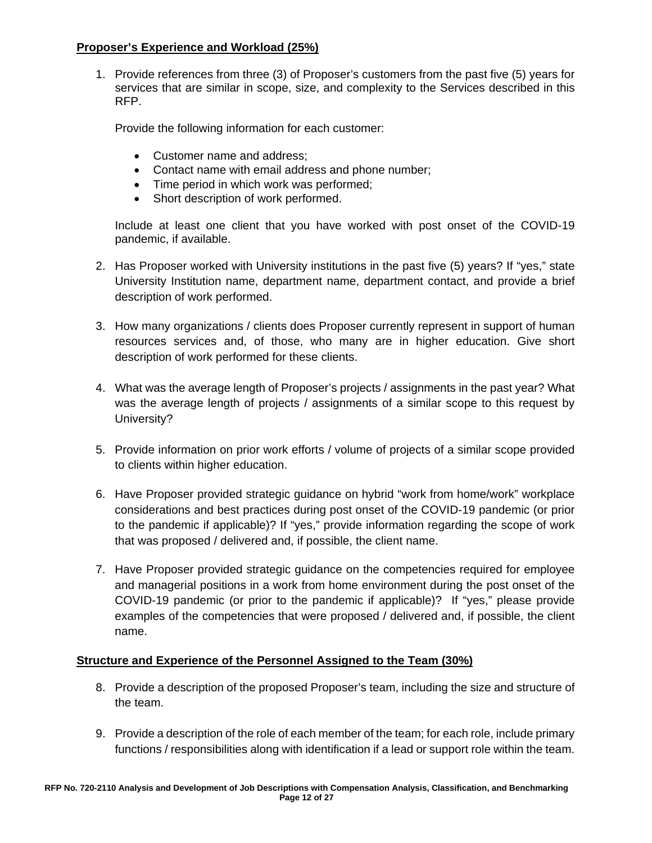### **Proposer's Experience and Workload (25%)**

1. Provide references from three (3) of Proposer's customers from the past five (5) years for services that are similar in scope, size, and complexity to the Services described in this RFP.

Provide the following information for each customer:

- Customer name and address;
- Contact name with email address and phone number;
- Time period in which work was performed;
- Short description of work performed.

Include at least one client that you have worked with post onset of the COVID-19 pandemic, if available.

- 2. Has Proposer worked with University institutions in the past five (5) years? If "yes," state University Institution name, department name, department contact, and provide a brief description of work performed.
- 3. How many organizations / clients does Proposer currently represent in support of human resources services and, of those, who many are in higher education. Give short description of work performed for these clients.
- 4. What was the average length of Proposer's projects / assignments in the past year? What was the average length of projects / assignments of a similar scope to this request by University?
- 5. Provide information on prior work efforts / volume of projects of a similar scope provided to clients within higher education.
- 6. Have Proposer provided strategic guidance on hybrid "work from home/work" workplace considerations and best practices during post onset of the COVID-19 pandemic (or prior to the pandemic if applicable)? If "yes," provide information regarding the scope of work that was proposed / delivered and, if possible, the client name.
- 7. Have Proposer provided strategic guidance on the competencies required for employee and managerial positions in a work from home environment during the post onset of the COVID-19 pandemic (or prior to the pandemic if applicable)? If "yes," please provide examples of the competencies that were proposed / delivered and, if possible, the client name.

### **Structure and Experience of the Personnel Assigned to the Team (30%)**

- 8. Provide a description of the proposed Proposer's team, including the size and structure of the team.
- 9. Provide a description of the role of each member of the team; for each role, include primary functions / responsibilities along with identification if a lead or support role within the team.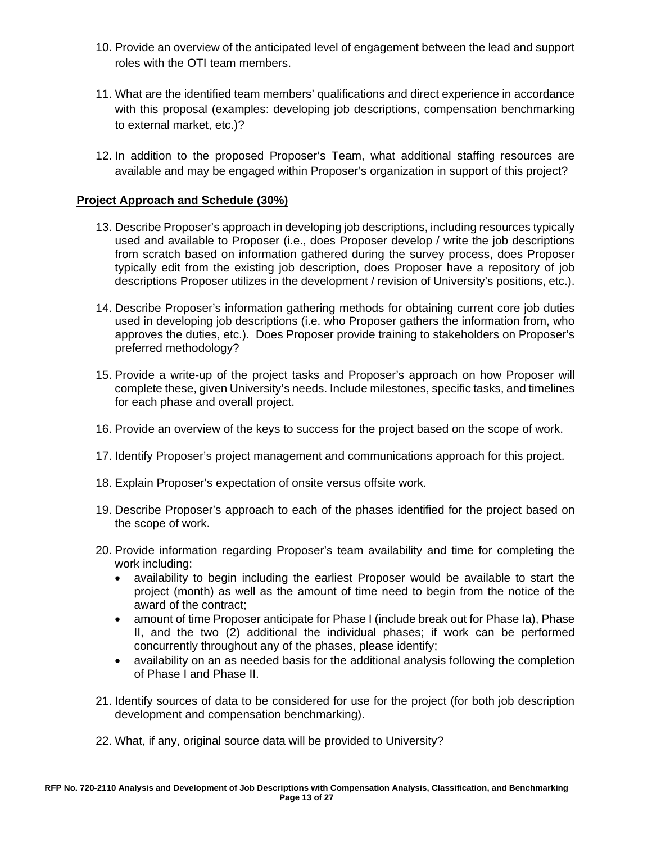- 10. Provide an overview of the anticipated level of engagement between the lead and support roles with the OTI team members.
- 11. What are the identified team members' qualifications and direct experience in accordance with this proposal (examples: developing job descriptions, compensation benchmarking to external market, etc.)?
- 12. In addition to the proposed Proposer's Team, what additional staffing resources are available and may be engaged within Proposer's organization in support of this project?

### **Project Approach and Schedule (30%)**

- 13. Describe Proposer's approach in developing job descriptions, including resources typically used and available to Proposer (i.e., does Proposer develop / write the job descriptions from scratch based on information gathered during the survey process, does Proposer typically edit from the existing job description, does Proposer have a repository of job descriptions Proposer utilizes in the development / revision of University's positions, etc.).
- 14. Describe Proposer's information gathering methods for obtaining current core job duties used in developing job descriptions (i.e. who Proposer gathers the information from, who approves the duties, etc.). Does Proposer provide training to stakeholders on Proposer's preferred methodology?
- 15. Provide a write-up of the project tasks and Proposer's approach on how Proposer will complete these, given University's needs. Include milestones, specific tasks, and timelines for each phase and overall project.
- 16. Provide an overview of the keys to success for the project based on the scope of work.
- 17. Identify Proposer's project management and communications approach for this project.
- 18. Explain Proposer's expectation of onsite versus offsite work.
- 19. Describe Proposer's approach to each of the phases identified for the project based on the scope of work.
- 20. Provide information regarding Proposer's team availability and time for completing the work including:
	- availability to begin including the earliest Proposer would be available to start the project (month) as well as the amount of time need to begin from the notice of the award of the contract;
	- amount of time Proposer anticipate for Phase I (include break out for Phase Ia), Phase II, and the two (2) additional the individual phases; if work can be performed concurrently throughout any of the phases, please identify;
	- availability on an as needed basis for the additional analysis following the completion of Phase I and Phase II.
- 21. Identify sources of data to be considered for use for the project (for both job description development and compensation benchmarking).
- 22. What, if any, original source data will be provided to University?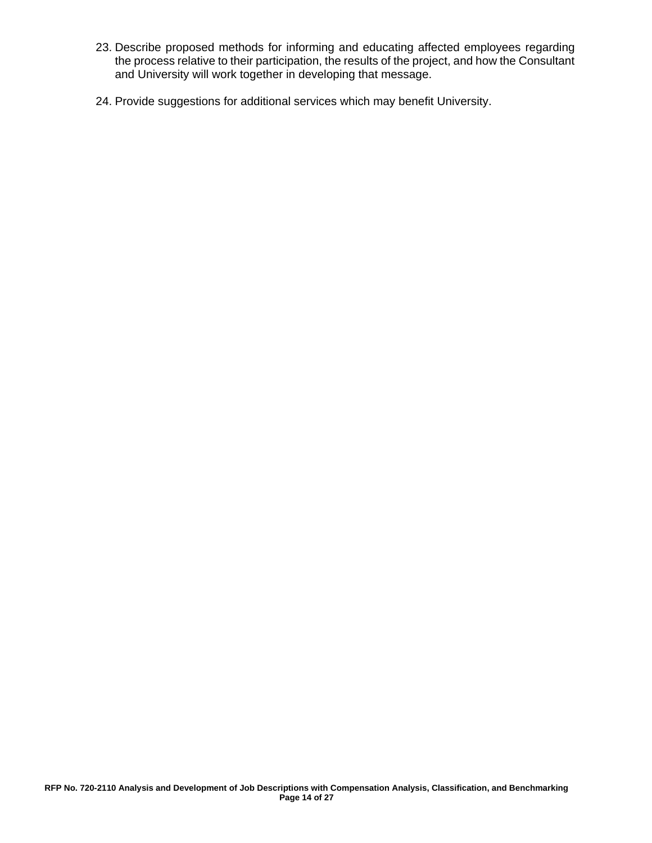- 23. Describe proposed methods for informing and educating affected employees regarding the process relative to their participation, the results of the project, and how the Consultant and University will work together in developing that message.
- 24. Provide suggestions for additional services which may benefit University.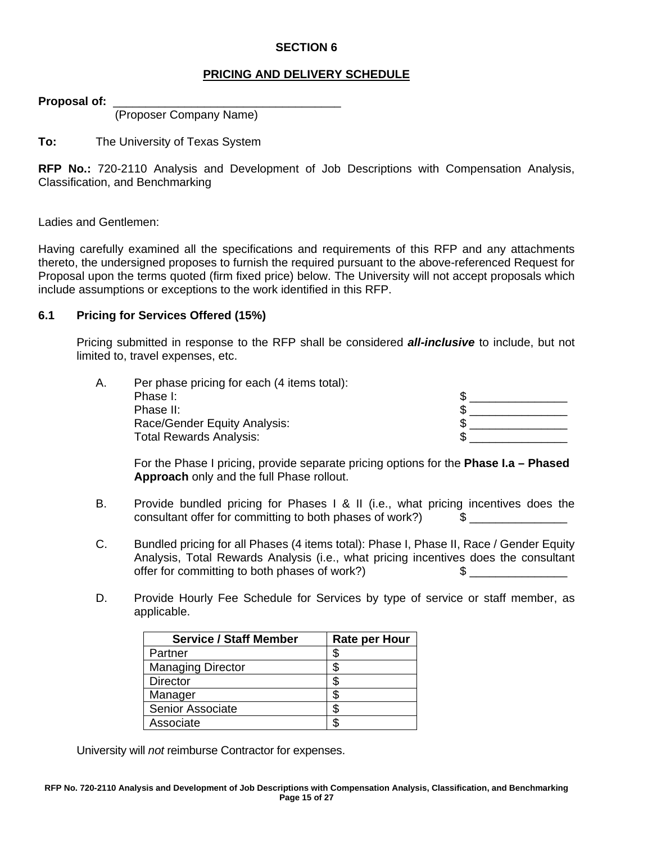### **PRICING AND DELIVERY SCHEDULE**

**Proposal of:** \_\_\_\_\_\_\_\_\_\_\_\_\_\_\_\_\_\_\_\_\_\_\_\_\_\_\_\_\_\_\_\_\_\_\_

(Proposer Company Name)

**To:** The University of Texas System

**RFP No.:** 720-2110 Analysis and Development of Job Descriptions with Compensation Analysis, Classification, and Benchmarking

Ladies and Gentlemen:

Having carefully examined all the specifications and requirements of this RFP and any attachments thereto, the undersigned proposes to furnish the required pursuant to the above-referenced Request for Proposal upon the terms quoted (firm fixed price) below. The University will not accept proposals which include assumptions or exceptions to the work identified in this RFP.

#### **6.1 Pricing for Services Offered (15%)**

Pricing submitted in response to the RFP shall be considered *all-inclusive* to include, but not limited to, travel expenses, etc.

| А. | Per phase pricing for each (4 items total): |  |
|----|---------------------------------------------|--|
|    | Phase I:                                    |  |
|    | Phase II:                                   |  |
|    | Race/Gender Equity Analysis:                |  |
|    | <b>Total Rewards Analysis:</b>              |  |

For the Phase I pricing, provide separate pricing options for the **Phase I.a – Phased Approach** only and the full Phase rollout.

- B. Provide bundled pricing for Phases I & II (i.e., what pricing incentives does the consultant offer for committing to both phases of work?)  $\qquad$  \$
- C. Bundled pricing for all Phases (4 items total): Phase I, Phase II, Race / Gender Equity Analysis, Total Rewards Analysis (i.e., what pricing incentives does the consultant offer for committing to both phases of work?)  $\qquad \qquad \$
- D. Provide Hourly Fee Schedule for Services by type of service or staff member, as applicable.

| <b>Service / Staff Member</b> | <b>Rate per Hour</b> |
|-------------------------------|----------------------|
| Partner                       | S                    |
| <b>Managing Director</b>      |                      |
| <b>Director</b>               | S                    |
| Manager                       |                      |
| <b>Senior Associate</b>       |                      |
| Associate                     |                      |

University will *not* reimburse Contractor for expenses.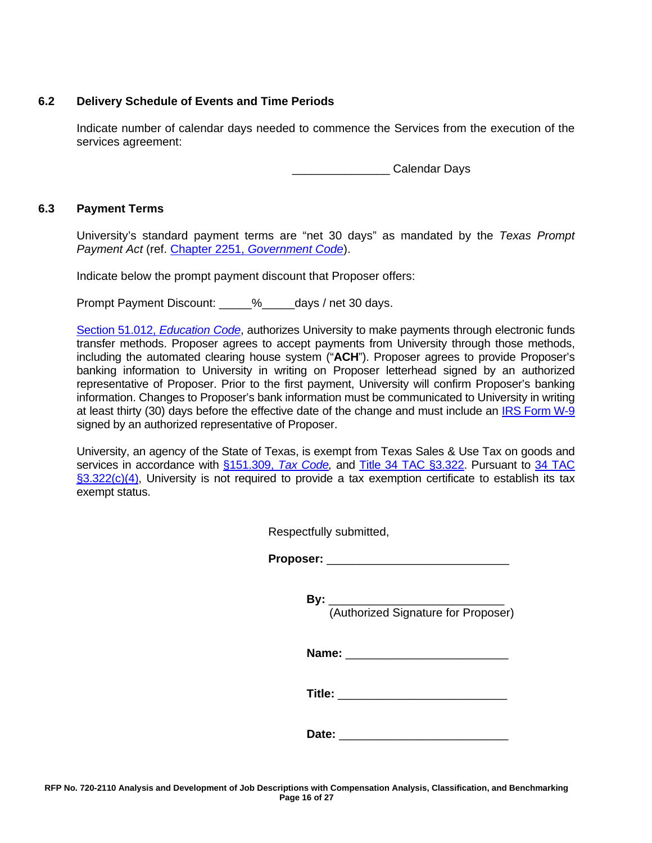### **6.2 Delivery Schedule of Events and Time Periods**

Indicate number of calendar days needed to commence the Services from the execution of the services agreement:

**Example 2** Calendar Days

#### **6.3 Payment Terms**

University's standard payment terms are "net 30 days" as mandated by the *Texas Prompt Payment Act* (ref. [Chapter 2251,](http://www.statutes.legis.state.tx.us/Docs/GV/htm/GV.2251.htm) *[Government Code](http://www.statutes.legis.state.tx.us/Docs/GV/htm/GV.2251.htm)*).

Indicate below the prompt payment discount that Proposer offers:

Prompt Payment Discount:  $\frac{1}{2}$  % days / net 30 days.

[Section 51.012,](http://www.statutes.legis.state.tx.us/Docs/ED/htm/ED.51.htm#51.012) *Education Code*, authorizes University to make payments through electronic funds transfer methods. Proposer agrees to accept payments from University through those methods, including the automated clearing house system ("**ACH**"). Proposer agrees to provide Proposer's banking information to University in writing on Proposer letterhead signed by an authorized representative of Proposer. Prior to the first payment, University will confirm Proposer's banking information. Changes to Proposer's bank information must be communicated to University in writing at least thirty (30) days before the effective date of the change and must include an IRS [Form](https://www.irs.gov/uac/about-form-w9) W-9 signed by an authorized representative of Proposer.

University, an agency of the State of Texas, is exempt from Texas Sales & Use Tax on goods and services in accordance with [§151.309,](http://www.statutes.legis.state.tx.us/Docs/TX/htm/TX.151.htm#151.309) *[Tax Code,](http://www.statutes.legis.state.tx.us/Docs/TX/htm/TX.151.htm#151.309)* and [Title 34 TAC](http://texreg.sos.state.tx.us/public/readtac$ext.TacPage?sl=R&app=9&p_dir=&p_rloc=&p_tloc=&p_ploc=&pg=1&p_tac=&ti=34&pt=1&ch=3&rl=322) [§3.322.](http://texreg.sos.state.tx.us/public/readtac$ext.TacPage?sl=R&app=9&p_dir=&p_rloc=&p_tloc=&p_ploc=&pg=1&p_tac=&ti=34&pt=1&ch=3&rl=322) Pursuant to [34 TAC](http://texreg.sos.state.tx.us/public/readtac$ext.TacPage?sl=R&app=9&p_dir=&p_rloc=&p_tloc=&p_ploc=&pg=1&p_tac=&ti=34&pt=1&ch=3&rl=322)  [§3.322\(c\)\(4\),](http://texreg.sos.state.tx.us/public/readtac$ext.TacPage?sl=R&app=9&p_dir=&p_rloc=&p_tloc=&p_ploc=&pg=1&p_tac=&ti=34&pt=1&ch=3&rl=322) University is not required to provide a tax exemption certificate to establish its tax exempt status.

| Respectfully submitted, |  |
|-------------------------|--|
|-------------------------|--|

Proposer:

**By:** \_\_\_\_\_\_\_\_\_\_\_\_\_\_\_\_\_\_\_\_\_\_\_\_\_\_\_

(Authorized Signature for Proposer)

**Name:** \_\_\_\_\_\_\_\_\_\_\_\_\_\_\_\_\_\_\_\_\_\_\_\_\_

**Title:** \_\_\_\_\_\_\_\_\_\_\_\_\_\_\_\_\_\_\_\_\_\_\_\_\_\_

**Date:** \_\_\_\_\_\_\_\_\_\_\_\_\_\_\_\_\_\_\_\_\_\_\_\_\_\_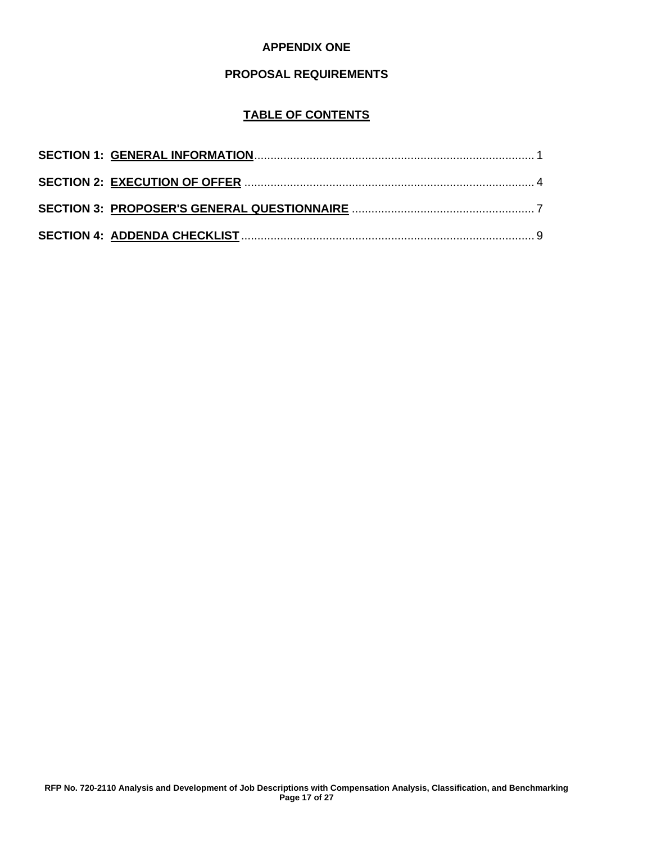### **APPENDIX ONE**

#### **PROPOSAL REQUIREMENTS**

### **TABLE OF CONTENTS**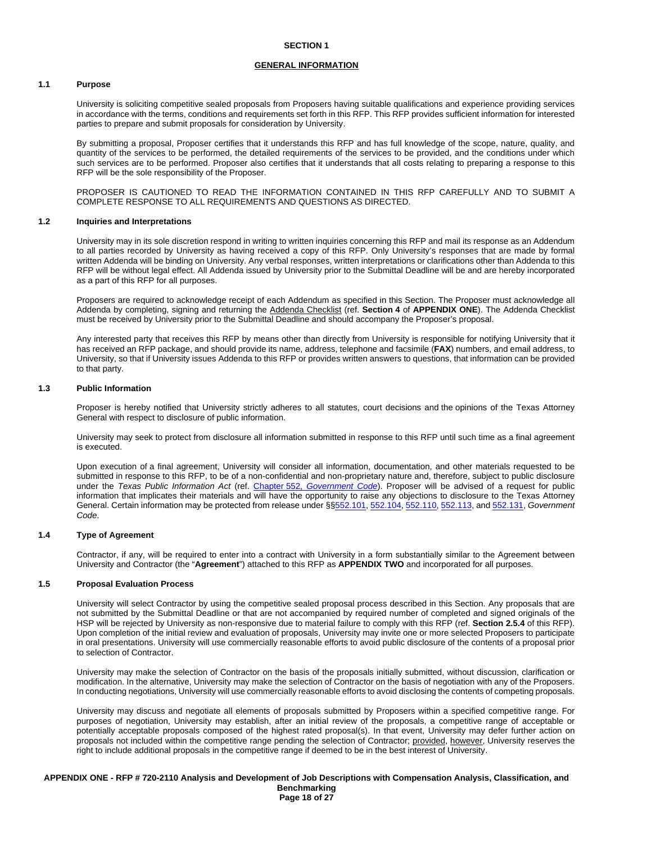#### **GENERAL INFORMATION**

#### **1.1 Purpose**

University is soliciting competitive sealed proposals from Proposers having suitable qualifications and experience providing services in accordance with the terms, conditions and requirements set forth in this RFP. This RFP provides sufficient information for interested parties to prepare and submit proposals for consideration by University.

By submitting a proposal, Proposer certifies that it understands this RFP and has full knowledge of the scope, nature, quality, and quantity of the services to be performed, the detailed requirements of the services to be provided, and the conditions under which such services are to be performed. Proposer also certifies that it understands that all costs relating to preparing a response to this RFP will be the sole responsibility of the Proposer.

PROPOSER IS CAUTIONED TO READ THE INFORMATION CONTAINED IN THIS RFP CAREFULLY AND TO SUBMIT A COMPLETE RESPONSE TO ALL REQUIREMENTS AND QUESTIONS AS DIRECTED.

#### **1.2 Inquiries and Interpretations**

University may in its sole discretion respond in writing to written inquiries concerning this RFP and mail its response as an Addendum to all parties recorded by University as having received a copy of this RFP. Only University's responses that are made by formal written Addenda will be binding on University. Any verbal responses, written interpretations or clarifications other than Addenda to this RFP will be without legal effect. All Addenda issued by University prior to the Submittal Deadline will be and are hereby incorporated as a part of this RFP for all purposes.

Proposers are required to acknowledge receipt of each Addendum as specified in this Section. The Proposer must acknowledge all Addenda by completing, signing and returning the Addenda Checklist (ref. **Section 4** of **APPENDIX ONE**). The Addenda Checklist must be received by University prior to the Submittal Deadline and should accompany the Proposer's proposal.

Any interested party that receives this RFP by means other than directly from University is responsible for notifying University that it has received an RFP package, and should provide its name, address, telephone and facsimile (**FAX**) numbers, and email address, to University, so that if University issues Addenda to this RFP or provides written answers to questions, that information can be provided to that party.

#### **1.3 Public Information**

Proposer is hereby notified that University strictly adheres to all statutes, court decisions and the opinions of the Texas Attorney General with respect to disclosure of public information.

University may seek to protect from disclosure all information submitted in response to this RFP until such time as a final agreement is executed.

Upon execution of a final agreement, University will consider all information, documentation, and other materials requested to be submitted in response to this RFP, to be of a non-confidential and non-proprietary nature and, therefore, subject to public disclosure under the *Texas Public Information Act* (ref. [Chapter](http://www.statutes.legis.state.tx.us/Docs/GV/htm/GV.552.htm) 552, *[Government Code](http://www.statutes.legis.state.tx.us/Docs/GV/htm/GV.552.htm)*). Proposer will be advised of a request for public information that implicates their materials and will have the opportunity to raise any objections to disclosure to the Texas Attorney General. Certain information may be protected from release under §[§552.101,](http://www.statutes.legis.state.tx.us/Docs/GV/htm/GV.552.htm#552.101) [552.104,](http://www.statutes.legis.state.tx.us/Docs/GV/htm/GV.552.htm#552.104) [552.110,](http://www.statutes.legis.state.tx.us/Docs/GV/htm/GV.552.htm#552.110) [552.113,](http://www.statutes.legis.state.tx.us/Docs/GV/htm/GV.552.htm#552.113) and [552.131,](http://www.statutes.legis.state.tx.us/Docs/GV/htm/GV.552.htm#552.131) *Government Code*.

#### **1.4 Type of Agreement**

Contractor, if any, will be required to enter into a contract with University in a form substantially similar to the Agreement between University and Contractor (the "**Agreement**") attached to this RFP as **APPENDIX TWO** and incorporated for all purposes.

#### **1.5 Proposal Evaluation Process**

University will select Contractor by using the competitive sealed proposal process described in this Section. Any proposals that are not submitted by the Submittal Deadline or that are not accompanied by required number of completed and signed originals of the HSP will be rejected by University as non-responsive due to material failure to comply with this RFP (ref. **Section 2.5.4** of this RFP). Upon completion of the initial review and evaluation of proposals, University may invite one or more selected Proposers to participate in oral presentations. University will use commercially reasonable efforts to avoid public disclosure of the contents of a proposal prior to selection of Contractor.

University may make the selection of Contractor on the basis of the proposals initially submitted, without discussion, clarification or modification. In the alternative, University may make the selection of Contractor on the basis of negotiation with any of the Proposers. In conducting negotiations, University will use commercially reasonable efforts to avoid disclosing the contents of competing proposals.

University may discuss and negotiate all elements of proposals submitted by Proposers within a specified competitive range. For purposes of negotiation, University may establish, after an initial review of the proposals, a competitive range of acceptable or potentially acceptable proposals composed of the highest rated proposal(s). In that event, University may defer further action on proposals not included within the competitive range pending the selection of Contractor; provided, however, University reserves the right to include additional proposals in the competitive range if deemed to be in the best interest of University.

**APPENDIX ONE - RFP # 720-2110 Analysis and Development of Job Descriptions with Compensation Analysis, Classification, and Benchmarking Page 18 of 27**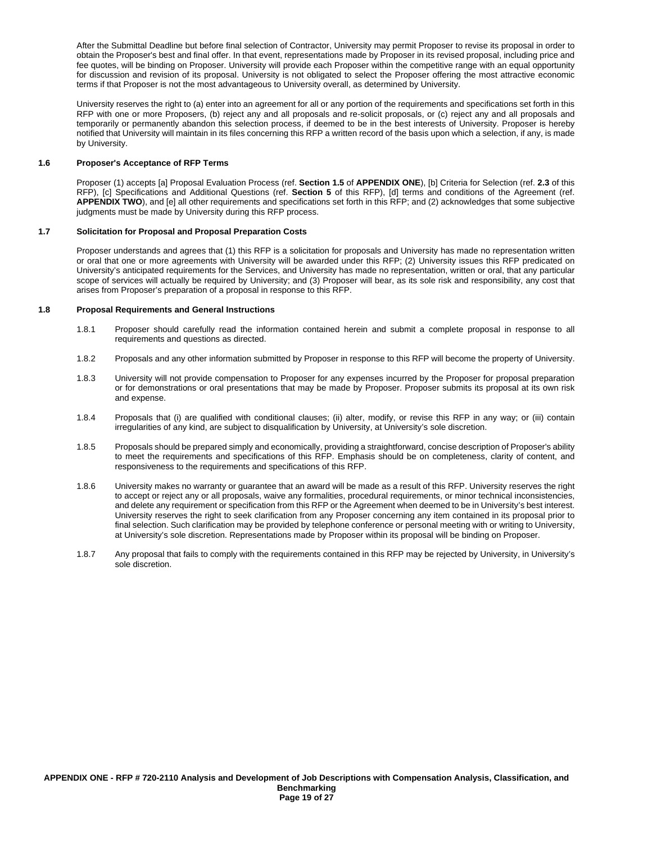After the Submittal Deadline but before final selection of Contractor, University may permit Proposer to revise its proposal in order to obtain the Proposer's best and final offer. In that event, representations made by Proposer in its revised proposal, including price and fee quotes, will be binding on Proposer. University will provide each Proposer within the competitive range with an equal opportunity for discussion and revision of its proposal. University is not obligated to select the Proposer offering the most attractive economic terms if that Proposer is not the most advantageous to University overall, as determined by University.

University reserves the right to (a) enter into an agreement for all or any portion of the requirements and specifications set forth in this RFP with one or more Proposers, (b) reject any and all proposals and re-solicit proposals, or (c) reject any and all proposals and temporarily or permanently abandon this selection process, if deemed to be in the best interests of University. Proposer is hereby notified that University will maintain in its files concerning this RFP a written record of the basis upon which a selection, if any, is made by University.

#### **1.6 Proposer's Acceptance of RFP Terms**

Proposer (1) accepts [a] Proposal Evaluation Process (ref. **Section 1.5** of **APPENDIX ONE**), [b] Criteria for Selection (ref. **2.3** of this RFP), [c] Specifications and Additional Questions (ref. **Section 5** of this RFP), [d] terms and conditions of the Agreement (ref. **APPENDIX TWO**), and [e] all other requirements and specifications set forth in this RFP; and (2) acknowledges that some subjective judgments must be made by University during this RFP process.

#### **1.7 Solicitation for Proposal and Proposal Preparation Costs**

Proposer understands and agrees that (1) this RFP is a solicitation for proposals and University has made no representation written or oral that one or more agreements with University will be awarded under this RFP; (2) University issues this RFP predicated on University's anticipated requirements for the Services, and University has made no representation, written or oral, that any particular scope of services will actually be required by University; and (3) Proposer will bear, as its sole risk and responsibility, any cost that arises from Proposer's preparation of a proposal in response to this RFP.

#### **1.8 Proposal Requirements and General Instructions**

- 1.8.1 Proposer should carefully read the information contained herein and submit a complete proposal in response to all requirements and questions as directed.
- 1.8.2 Proposals and any other information submitted by Proposer in response to this RFP will become the property of University.
- 1.8.3 University will not provide compensation to Proposer for any expenses incurred by the Proposer for proposal preparation or for demonstrations or oral presentations that may be made by Proposer. Proposer submits its proposal at its own risk and expense.
- 1.8.4 Proposals that (i) are qualified with conditional clauses; (ii) alter, modify, or revise this RFP in any way; or (iii) contain irregularities of any kind, are subject to disqualification by University, at University's sole discretion.
- 1.8.5 Proposals should be prepared simply and economically, providing a straightforward, concise description of Proposer's ability to meet the requirements and specifications of this RFP. Emphasis should be on completeness, clarity of content, and responsiveness to the requirements and specifications of this RFP.
- 1.8.6 University makes no warranty or guarantee that an award will be made as a result of this RFP. University reserves the right to accept or reject any or all proposals, waive any formalities, procedural requirements, or minor technical inconsistencies, and delete any requirement or specification from this RFP or the Agreement when deemed to be in University's best interest. University reserves the right to seek clarification from any Proposer concerning any item contained in its proposal prior to final selection. Such clarification may be provided by telephone conference or personal meeting with or writing to University, at University's sole discretion. Representations made by Proposer within its proposal will be binding on Proposer.
- 1.8.7 Any proposal that fails to comply with the requirements contained in this RFP may be rejected by University, in University's sole discretion.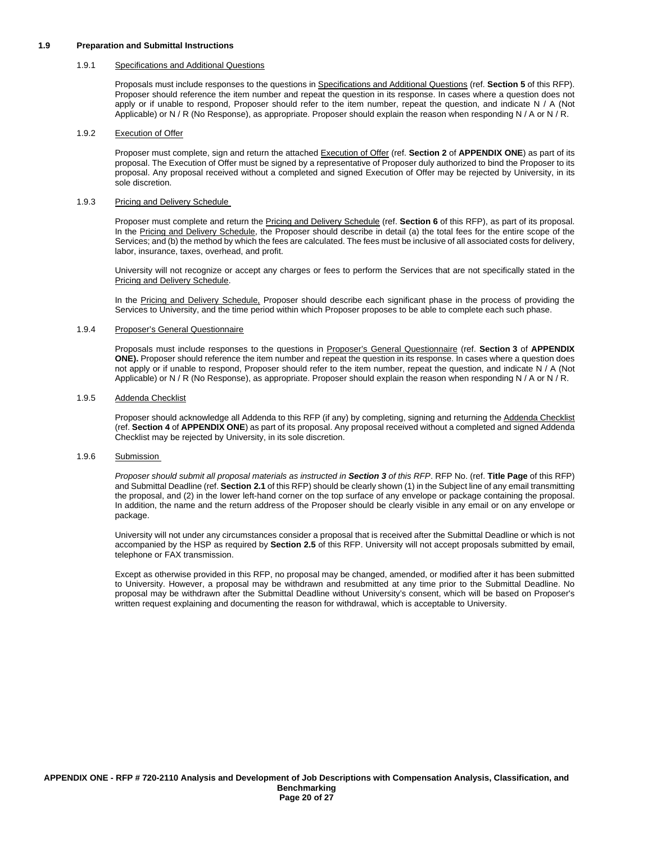#### **1.9 Preparation and Submittal Instructions**

#### 1.9.1 Specifications and Additional Questions

Proposals must include responses to the questions in Specifications and Additional Questions (ref. **Section 5** of this RFP). Proposer should reference the item number and repeat the question in its response. In cases where a question does not apply or if unable to respond, Proposer should refer to the item number, repeat the question, and indicate N / A (Not Applicable) or N / R (No Response), as appropriate. Proposer should explain the reason when responding N / A or N / R.

#### 1.9.2 Execution of Offer

Proposer must complete, sign and return the attached Execution of Offer (ref. **Section 2** of **APPENDIX ONE**) as part of its proposal. The Execution of Offer must be signed by a representative of Proposer duly authorized to bind the Proposer to its proposal. Any proposal received without a completed and signed Execution of Offer may be rejected by University, in its sole discretion.

#### 1.9.3 Pricing and Delivery Schedule

Proposer must complete and return the Pricing and Delivery Schedule (ref. **Section 6** of this RFP), as part of its proposal. In the Pricing and Delivery Schedule, the Proposer should describe in detail (a) the total fees for the entire scope of the Services; and (b) the method by which the fees are calculated. The fees must be inclusive of all associated costs for delivery, labor, insurance, taxes, overhead, and profit.

University will not recognize or accept any charges or fees to perform the Services that are not specifically stated in the Pricing and Delivery Schedule.

In the Pricing and Delivery Schedule, Proposer should describe each significant phase in the process of providing the Services to University, and the time period within which Proposer proposes to be able to complete each such phase.

#### 1.9.4 Proposer's General Questionnaire

Proposals must include responses to the questions in Proposer's General Questionnaire (ref. **Section 3** of **APPENDIX ONE).** Proposer should reference the item number and repeat the question in its response. In cases where a question does not apply or if unable to respond, Proposer should refer to the item number, repeat the question, and indicate N / A (Not Applicable) or N / R (No Response), as appropriate. Proposer should explain the reason when responding N / A or N / R.

#### 1.9.5 Addenda Checklist

Proposer should acknowledge all Addenda to this RFP (if any) by completing, signing and returning the Addenda Checklist (ref. **Section 4** of **APPENDIX ONE**) as part of its proposal. Any proposal received without a completed and signed Addenda Checklist may be rejected by University, in its sole discretion.

#### 1.9.6 Submission

*Proposer should submit all proposal materials as instructed in Section 3 of this RFP*. RFP No. (ref. **Title Page** of this RFP) and Submittal Deadline (ref. **Section 2.1** of this RFP) should be clearly shown (1) in the Subject line of any email transmitting the proposal, and (2) in the lower left-hand corner on the top surface of any envelope or package containing the proposal. In addition, the name and the return address of the Proposer should be clearly visible in any email or on any envelope or package.

University will not under any circumstances consider a proposal that is received after the Submittal Deadline or which is not accompanied by the HSP as required by **Section 2.5** of this RFP. University will not accept proposals submitted by email, telephone or FAX transmission.

Except as otherwise provided in this RFP, no proposal may be changed, amended, or modified after it has been submitted to University. However, a proposal may be withdrawn and resubmitted at any time prior to the Submittal Deadline. No proposal may be withdrawn after the Submittal Deadline without University's consent, which will be based on Proposer's written request explaining and documenting the reason for withdrawal, which is acceptable to University.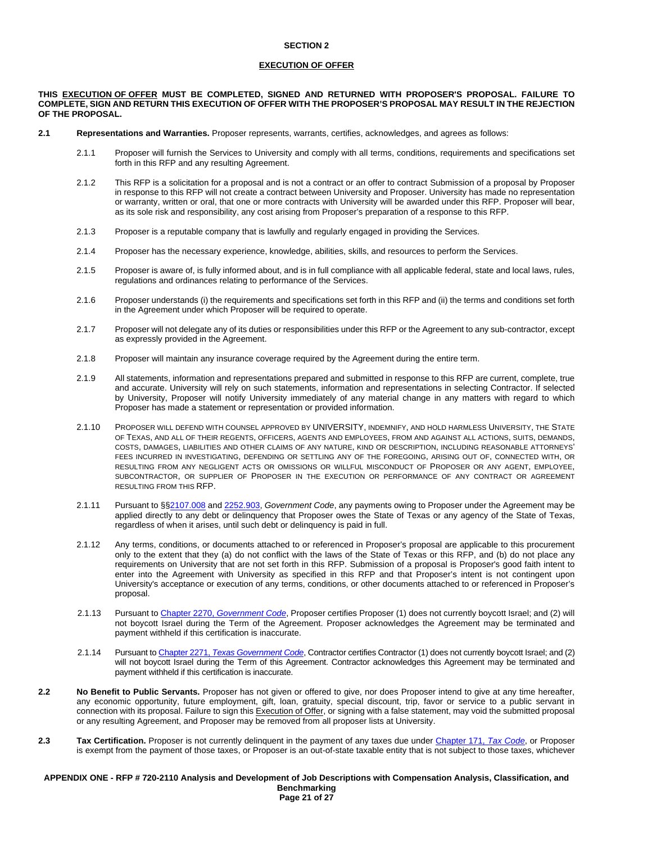#### **EXECUTION OF OFFER**

#### **THIS EXECUTION OF OFFER MUST BE COMPLETED, SIGNED AND RETURNED WITH PROPOSER'S PROPOSAL. FAILURE TO COMPLETE, SIGN AND RETURN THIS EXECUTION OF OFFER WITH THE PROPOSER'S PROPOSAL MAY RESULT IN THE REJECTION OF THE PROPOSAL.**

- **2.1 Representations and Warranties.** Proposer represents, warrants, certifies, acknowledges, and agrees as follows:
	- 2.1.1 Proposer will furnish the Services to University and comply with all terms, conditions, requirements and specifications set forth in this RFP and any resulting Agreement.
	- 2.1.2 This RFP is a solicitation for a proposal and is not a contract or an offer to contract Submission of a proposal by Proposer in response to this RFP will not create a contract between University and Proposer. University has made no representation or warranty, written or oral, that one or more contracts with University will be awarded under this RFP. Proposer will bear, as its sole risk and responsibility, any cost arising from Proposer's preparation of a response to this RFP.
	- 2.1.3 Proposer is a reputable company that is lawfully and regularly engaged in providing the Services.
	- 2.1.4 Proposer has the necessary experience, knowledge, abilities, skills, and resources to perform the Services.
	- 2.1.5 Proposer is aware of, is fully informed about, and is in full compliance with all applicable federal, state and local laws, rules, regulations and ordinances relating to performance of the Services.
	- 2.1.6 Proposer understands (i) the requirements and specifications set forth in this RFP and (ii) the terms and conditions set forth in the Agreement under which Proposer will be required to operate.
	- 2.1.7 Proposer will not delegate any of its duties or responsibilities under this RFP or the Agreement to any sub-contractor, except as expressly provided in the Agreement.
	- 2.1.8 Proposer will maintain any insurance coverage required by the Agreement during the entire term.
	- 2.1.9 All statements, information and representations prepared and submitted in response to this RFP are current, complete, true and accurate. University will rely on such statements, information and representations in selecting Contractor. If selected by University, Proposer will notify University immediately of any material change in any matters with regard to which Proposer has made a statement or representation or provided information.
	- 2.1.10 PROPOSER WILL DEFEND WITH COUNSEL APPROVED BY UNIVERSITY, INDEMNIFY, AND HOLD HARMLESS UNIVERSITY, THE STATE OF TEXAS, AND ALL OF THEIR REGENTS, OFFICERS, AGENTS AND EMPLOYEES, FROM AND AGAINST ALL ACTIONS, SUITS, DEMANDS, COSTS, DAMAGES, LIABILITIES AND OTHER CLAIMS OF ANY NATURE, KIND OR DESCRIPTION, INCLUDING REASONABLE ATTORNEYS' FEES INCURRED IN INVESTIGATING, DEFENDING OR SETTLING ANY OF THE FOREGOING, ARISING OUT OF, CONNECTED WITH, OR RESULTING FROM ANY NEGLIGENT ACTS OR OMISSIONS OR WILLFUL MISCONDUCT OF PROPOSER OR ANY AGENT, EMPLOYEE, SUBCONTRACTOR, OR SUPPLIER OF PROPOSER IN THE EXECUTION OR PERFORMANCE OF ANY CONTRACT OR AGREEMENT RESULTING FROM THIS RFP.
	- 2.1.11 Pursuant to §[§2107.008](http://www.statutes.legis.state.tx.us/Docs/GV/htm/GV.2107.htm#2107.008) and [2252.903,](http://www.statutes.legis.state.tx.us/Docs/GV/htm/GV.2252.htm#2252.903) *Government Code*, any payments owing to Proposer under the Agreement may be applied directly to any debt or delinquency that Proposer owes the State of Texas or any agency of the State of Texas, regardless of when it arises, until such debt or delinquency is paid in full.
	- 2.1.12 Any terms, conditions, or documents attached to or referenced in Proposer's proposal are applicable to this procurement only to the extent that they (a) do not conflict with the laws of the State of Texas or this RFP, and (b) do not place any requirements on University that are not set forth in this RFP. Submission of a proposal is Proposer's good faith intent to enter into the Agreement with University as specified in this RFP and that Proposer's intent is not contingent upon University's acceptance or execution of any terms, conditions, or other documents attached to or referenced in Proposer's proposal.
	- 2.1.13 Pursuant to [Chapter 2270,](http://www.statutes.legis.state.tx.us/Docs/GV/htm/GV.2270.v2.htm) *[Government Code](http://www.statutes.legis.state.tx.us/Docs/GV/htm/GV.2270.v2.htm)*, Proposer certifies Proposer (1) does not currently boycott Israel; and (2) will not boycott Israel during the Term of the Agreement. Proposer acknowledges the Agreement may be terminated and payment withheld if this certification is inaccurate.
	- 2.1.14 Pursuant t[o Chapter 2271,](https://statutes.capitol.texas.gov/Docs/GV/htm/GV.2271.htm) *[Texas Government Code](https://statutes.capitol.texas.gov/Docs/GV/htm/GV.2271.htm)*, Contractor certifies Contractor (1) does not currently boycott Israel; and (2) will not boycott Israel during the Term of this Agreement. Contractor acknowledges this Agreement may be terminated and payment withheld if this certification is inaccurate.
- **2.2 No Benefit to Public Servants.** Proposer has not given or offered to give, nor does Proposer intend to give at any time hereafter, any economic opportunity, future employment, gift, loan, gratuity, special discount, trip, favor or service to a public servant in connection with its proposal. Failure to sign this Execution of Offer, or signing with a false statement, may void the submitted proposal or any resulting Agreement, and Proposer may be removed from all proposer lists at University.
- **2.3 Tax Certification.** Proposer is not currently delinquent in the payment of any taxes due under [Chapter](http://www.statutes.legis.state.tx.us/Docs/TX/htm/TX.171.htm) 171, *[Tax Code](http://www.statutes.legis.state.tx.us/Docs/TX/htm/TX.171.htm)*, or Proposer is exempt from the payment of those taxes, or Proposer is an out-of-state taxable entity that is not subject to those taxes, whichever

#### **APPENDIX ONE - RFP # 720-2110 Analysis and Development of Job Descriptions with Compensation Analysis, Classification, and Benchmarking Page 21 of 27**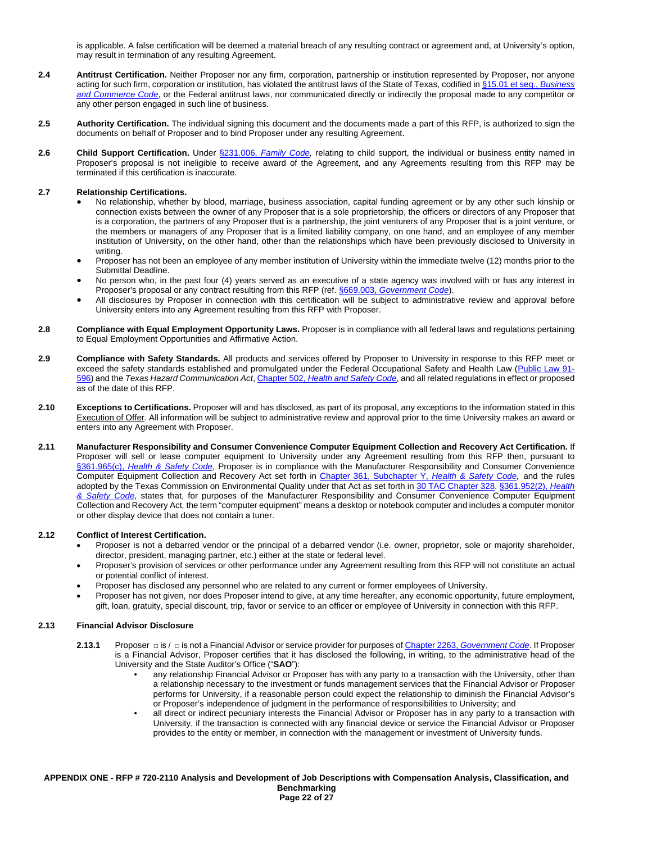is applicable. A false certification will be deemed a material breach of any resulting contract or agreement and, at University's option, may result in termination of any resulting Agreement.

- **2.4 Antitrust Certification.** Neither Proposer nor any firm, corporation, partnership or institution represented by Proposer, nor anyone acting for such firm, corporation or institution, has violated the antitrust laws of the State of Texas, codified in [§15.01 et seq.,](http://www.statutes.legis.state.tx.us/Docs/BC/htm/BC.15.htm) *[Business](http://www.statutes.legis.state.tx.us/Docs/BC/htm/BC.15.htm)  [and Commerce Code](http://www.statutes.legis.state.tx.us/Docs/BC/htm/BC.15.htm)*, or the Federal antitrust laws, nor communicated directly or indirectly the proposal made to any competitor or any other person engaged in such line of business.
- **2.5 Authority Certification.** The individual signing this document and the documents made a part of this RFP, is authorized to sign the documents on behalf of Proposer and to bind Proposer under any resulting Agreement.
- **2.6 Child Support Certification.** Under [§231.006,](http://www.statutes.legis.state.tx.us/Docs/FA/htm/FA.231.htm#231.006) *[Family Code,](http://www.statutes.legis.state.tx.us/Docs/FA/htm/FA.231.htm#231.006)* relating to child support, the individual or business entity named in Proposer's proposal is not ineligible to receive award of the Agreement, and any Agreements resulting from this RFP may be terminated if this certification is inaccurate.

#### **2.7 Relationship Certifications.**

- No relationship, whether by blood, marriage, business association, capital funding agreement or by any other such kinship or connection exists between the owner of any Proposer that is a sole proprietorship, the officers or directors of any Proposer that is a corporation, the partners of any Proposer that is a partnership, the joint venturers of any Proposer that is a joint venture, or the members or managers of any Proposer that is a limited liability company, on one hand, and an employee of any member institution of University, on the other hand, other than the relationships which have been previously disclosed to University in writing.
- Proposer has not been an employee of any member institution of University within the immediate twelve (12) months prior to the Submittal Deadline.
- No person who, in the past four (4) years served as an executive of a state agency was involved with or has any interest in Proposer's proposal or any contract resulting from this RFP (ref[. §669.003,](http://www.statutes.legis.state.tx.us/Docs/GV/htm/GV.669.htm#669.003) *[Government Code](http://www.statutes.legis.state.tx.us/Docs/GV/htm/GV.669.htm#669.003)*).
- All disclosures by Proposer in connection with this certification will be subject to administrative review and approval before University enters into any Agreement resulting from this RFP with Proposer.
- **2.8 Compliance with Equal Employment Opportunity Laws.** Proposer is in compliance with all federal laws and regulations pertaining to Equal Employment Opportunities and Affirmative Action.
- **2.9 Compliance with Safety Standards.** All products and services offered by Proposer to University in response to this RFP meet or exceed the safety standards established and promulgated under the Federal Occupational Safety and Health Law [\(Public Law 91-](https://www.osha.gov/pls/oshaweb/owadisp.show_document?p_table=OSHACT&p_id=2743) [596\)](https://www.osha.gov/pls/oshaweb/owadisp.show_document?p_table=OSHACT&p_id=2743) and the *Texas Hazard Communication Act*, Chapter 502, *[Health and Safety Code](http://www.statutes.legis.state.tx.us/Docs/HS/htm/HS.502.htm)*, and all related regulations in effect or proposed as of the date of this RFP.
- **2.10 Exceptions to Certifications.** Proposer will and has disclosed, as part of its proposal, any exceptions to the information stated in this Execution of Offer. All information will be subject to administrative review and approval prior to the time University makes an award or enters into any Agreement with Proposer.
- **2.11 Manufacturer Responsibility and Consumer Convenience Computer Equipment Collection and Recovery Act Certification.** If Proposer will sell or lease computer equipment to University under any Agreement resulting from this RFP then, pursuant to [§361.965\(c\),](http://www.statutes.legis.state.tx.us/Docs/HS/htm/HS.361.htm#361.965) *[Health & Safety Code](http://www.statutes.legis.state.tx.us/Docs/HS/htm/HS.361.htm#361.965)*, Proposer is in compliance with the Manufacturer Responsibility and Consumer Convenience Computer Equipment Collection and Recovery Act set forth in [Chapter 361, Subchapter Y,](http://www.statutes.legis.state.tx.us/Docs/HS/htm/HS.361.htm#Y) *[Health & Safety Code,](http://www.statutes.legis.state.tx.us/Docs/HS/htm/HS.361.htm#Y)* and the rules adopted by the Texas Commission on Environmental Quality under that Act as set forth in [30 TAC Chapter 328.](http://texreg.sos.state.tx.us/public/readtac$ext.ViewTAC?tac_view=5&ti=30&pt=1&ch=328&sch=I&rl=Y) [§361.952\(2\),](http://www.statutes.legis.state.tx.us/Docs/HS/htm/HS.361.htm#361.952) *[Health](http://www.statutes.legis.state.tx.us/Docs/HS/htm/HS.361.htm#361.952)  [& Safety Code,](http://www.statutes.legis.state.tx.us/Docs/HS/htm/HS.361.htm#361.952)* states that, for purposes of the Manufacturer Responsibility and Consumer Convenience Computer Equipment Collection and Recovery Act*,* the term "computer equipment" means a desktop or notebook computer and includes a computer monitor or other display device that does not contain a tuner.

#### **2.12 Conflict of Interest Certification.**

- Proposer is not a debarred vendor or the principal of a debarred vendor (i.e. owner, proprietor, sole or majority shareholder, director, president, managing partner, etc.) either at the state or federal level.
- Proposer's provision of services or other performance under any Agreement resulting from this RFP will not constitute an actual or potential conflict of interest.
- Proposer has disclosed any personnel who are related to any current or former employees of University.
- Proposer has not given, nor does Proposer intend to give, at any time hereafter, any economic opportunity, future employment, gift, loan, gratuity, special discount, trip, favor or service to an officer or employee of University in connection with this RFP.

#### **2.13 Financial Advisor Disclosure**

- **2.13.1** Proposer □ is / □ is not a Financial Advisor or service provider for purposes o[f Chapter 2263,](http://www.statutes.legis.state.tx.us/Docs/GV/htm/GV.2263.htm) *[Government Code](http://www.statutes.legis.state.tx.us/Docs/GV/htm/GV.2263.htm)*. If Proposer is a Financial Advisor, Proposer certifies that it has disclosed the following, in writing, to the administrative head of the University and the State Auditor's Office ("**SAO**"):
	- any relationship Financial Advisor or Proposer has with any party to a transaction with the University, other than a relationship necessary to the investment or funds management services that the Financial Advisor or Proposer performs for University, if a reasonable person could expect the relationship to diminish the Financial Advisor's or Proposer's independence of judgment in the performance of responsibilities to University; and
	- all direct or indirect pecuniary interests the Financial Advisor or Proposer has in any party to a transaction with University, if the transaction is connected with any financial device or service the Financial Advisor or Proposer provides to the entity or member, in connection with the management or investment of University funds.

**APPENDIX ONE - RFP # 720-2110 Analysis and Development of Job Descriptions with Compensation Analysis, Classification, and Benchmarking Page 22 of 27**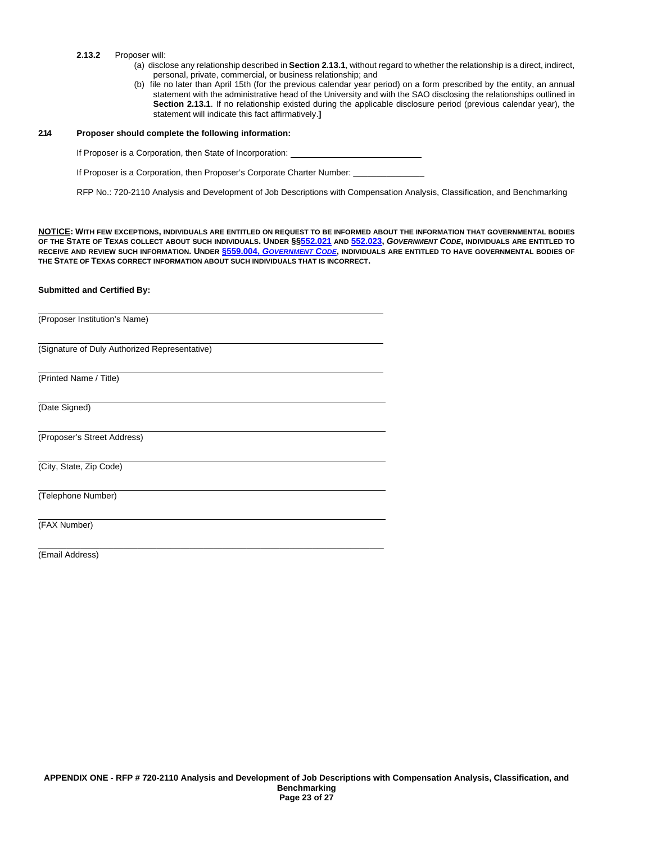- **2.13.2** Proposer will:
	- (a) disclose any relationship described in **Section 2.13.1**, without regard to whether the relationship is a direct, indirect, personal, private, commercial, or business relationship; and
	- (b) file no later than April 15th (for the previous calendar year period) on a form prescribed by the entity, an annual statement with the administrative head of the University and with the SAO disclosing the relationships outlined in **Section 2.13.1**. If no relationship existed during the applicable disclosure period (previous calendar year), the statement will indicate this fact affirmatively.**]**

#### **2.14 Proposer should complete the following information:**

If Proposer is a Corporation, then State of Incorporation:

If Proposer is a Corporation, then Proposer's Corporate Charter Number:

\_\_\_\_\_\_\_\_\_\_\_\_\_\_\_\_\_\_\_\_\_\_\_\_\_\_\_\_\_\_\_\_\_\_\_\_\_\_\_\_\_\_\_\_\_\_\_\_\_\_\_\_\_\_\_\_\_\_\_\_\_\_\_\_\_\_\_\_\_\_\_\_\_

RFP No.: 720-2110 Analysis and Development of Job Descriptions with Compensation Analysis, Classification, and Benchmarking

**NOTICE: WITH FEW EXCEPTIONS, INDIVIDUALS ARE ENTITLED ON REQUEST TO BE INFORMED ABOUT THE INFORMATION THAT GOVERNMENTAL BODIES OF THE STATE OF TEXAS COLLECT ABOUT SUCH INDIVIDUALS. UNDER §[§552.021](http://www.statutes.legis.state.tx.us/Docs/GV/htm/GV.552.htm#552.021) AND [552.023,](http://www.statutes.legis.state.tx.us/Docs/GV/htm/GV.552.htm#552.023)** *GOVERNMENT CODE***, INDIVIDUALS ARE ENTITLED TO RECEIVE AND REVIEW SUCH INFORMATION. UNDER §559.004,** *[GOVERNMENT CODE](http://www.statutes.legis.state.tx.us/Docs/GV/htm/GV.559.htm#559.004)***, INDIVIDUALS ARE ENTITLED TO HAVE GOVERNMENTAL BODIES OF THE STATE OF TEXAS CORRECT INFORMATION ABOUT SUCH INDIVIDUALS THAT IS INCORRECT.**

#### **Submitted and Certified By:**

(Proposer Institution's Name)

(Signature of Duly Authorized Representative)

(Printed Name / Title)

(Date Signed)

(Proposer's Street Address)

(City, State, Zip Code)

(Telephone Number)

(FAX Number)

(Email Address)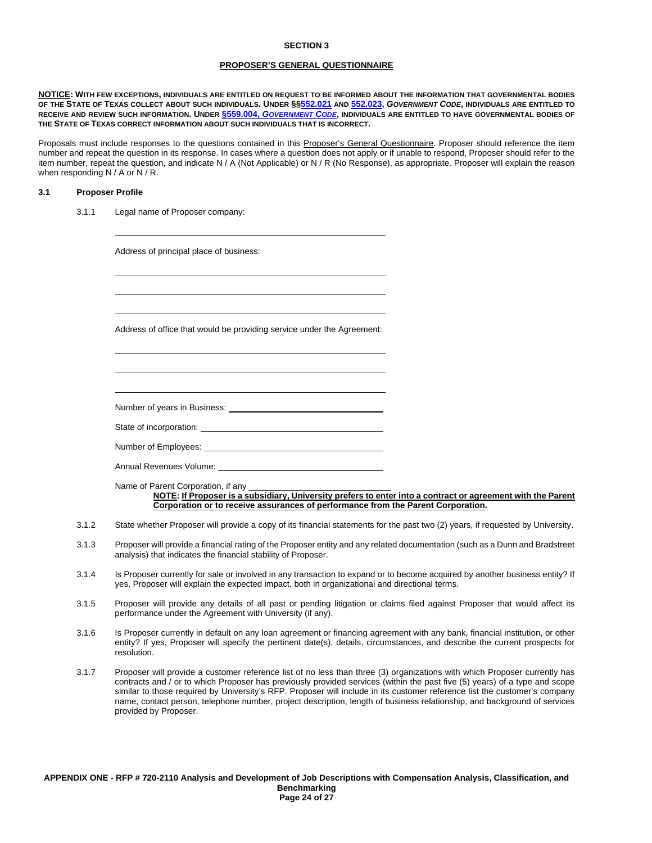#### **PROPOSER'S GENERAL QUESTIONNAIRE**

**NOTICE: WITH FEW EXCEPTIONS, INDIVIDUALS ARE ENTITLED ON REQUEST TO BE INFORMED ABOUT THE INFORMATION THAT GOVERNMENTAL BODIES OF THE STATE OF TEXAS COLLECT ABOUT SUCH INDIVIDUALS. UNDER §[§552.021](http://www.statutes.legis.state.tx.us/Docs/GV/htm/GV.552.htm#552.021) AND [552.023,](http://www.statutes.legis.state.tx.us/Docs/GV/htm/GV.552.htm#552.023)** *GOVERNMENT CODE***, INDIVIDUALS ARE ENTITLED TO RECEIVE AND REVIEW SUCH INFORMATION. UNDER §559.004,** *[GOVERNMENT CODE](http://www.statutes.legis.state.tx.us/Docs/GV/htm/GV.559.htm#559.004)***, INDIVIDUALS ARE ENTITLED TO HAVE GOVERNMENTAL BODIES OF THE STATE OF TEXAS CORRECT INFORMATION ABOUT SUCH INDIVIDUALS THAT IS INCORRECT.**

Proposals must include responses to the questions contained in this Proposer's General Questionnaire. Proposer should reference the item number and repeat the question in its response. In cases where a question does not apply or if unable to respond, Proposer should refer to the item number, repeat the question, and indicate N / A (Not Applicable) or N / R (No Response), as appropriate. Proposer will explain the reason when responding N / A or N / R.

#### **3.1 Proposer Profile**

3.1.1 Legal name of Proposer company:

Address of principal place of business:

Address of office that would be providing service under the Agreement:

Number of years in Business:

State of incorporation:

Number of Employees:

Annual Revenues Volume:

Name of Parent Corporation, if any **NOTE: If Proposer is a subsidiary, University prefers to enter into a contract or agreement with the Parent Corporation or to receive assurances of performance from the Parent Corporation.** 

- 3.1.2 State whether Proposer will provide a copy of its financial statements for the past two (2) years, if requested by University.
- 3.1.3 Proposer will provide a financial rating of the Proposer entity and any related documentation (such as a Dunn and Bradstreet analysis) that indicates the financial stability of Proposer.
- 3.1.4 Is Proposer currently for sale or involved in any transaction to expand or to become acquired by another business entity? If yes, Proposer will explain the expected impact, both in organizational and directional terms.
- 3.1.5 Proposer will provide any details of all past or pending litigation or claims filed against Proposer that would affect its performance under the Agreement with University (if any).
- 3.1.6 Is Proposer currently in default on any loan agreement or financing agreement with any bank, financial institution, or other entity? If yes, Proposer will specify the pertinent date(s), details, circumstances, and describe the current prospects for resolution.
- 3.1.7 Proposer will provide a customer reference list of no less than three (3) organizations with which Proposer currently has contracts and / or to which Proposer has previously provided services (within the past five (5) years) of a type and scope similar to those required by University's RFP. Proposer will include in its customer reference list the customer's company name, contact person, telephone number, project description, length of business relationship, and background of services provided by Proposer.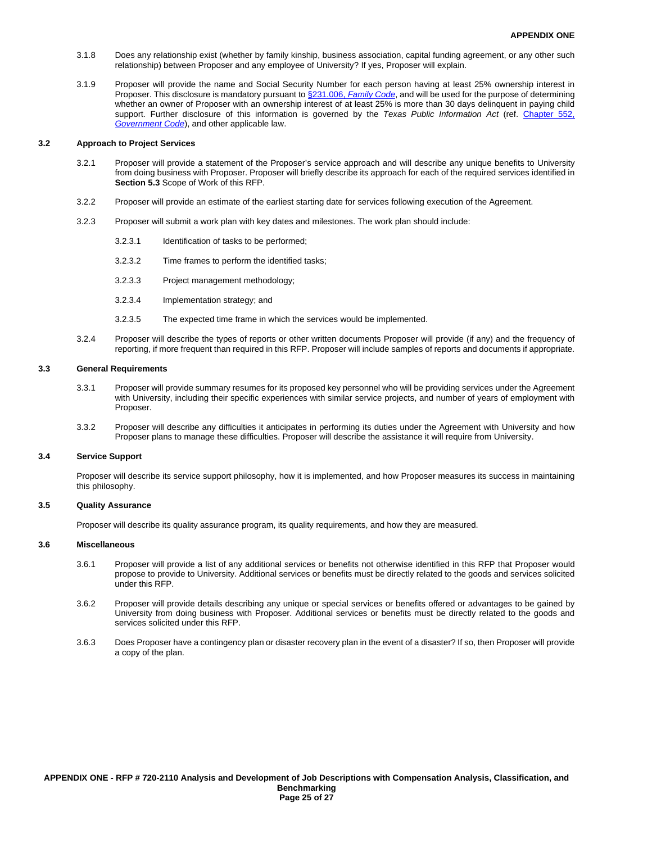- 3.1.8 Does any relationship exist (whether by family kinship, business association, capital funding agreement, or any other such relationship) between Proposer and any employee of University? If yes, Proposer will explain.
- 3.1.9 Proposer will provide the name and Social Security Number for each person having at least 25% ownership interest in Proposer. This disclosure is mandatory pursuant t[o §231.006,](http://www.statutes.legis.state.tx.us/Docs/FA/htm/FA.231.htm#231.006) *[Family Code](http://www.statutes.legis.state.tx.us/Docs/FA/htm/FA.231.htm#231.006)*, and will be used for the purpose of determining whether an owner of Proposer with an ownership interest of at least 25% is more than 30 days delinquent in paying child support. Further disclosure of this information is governed by the *Texas Public Information Act* (ref. [Chapter 552,](http://www.statutes.legis.state.tx.us/Docs/GV/htm/GV.552.htm)  *[Government Code](http://www.statutes.legis.state.tx.us/Docs/GV/htm/GV.552.htm)*), and other applicable law.

#### **3.2 Approach to Project Services**

- 3.2.1 Proposer will provide a statement of the Proposer's service approach and will describe any unique benefits to University from doing business with Proposer. Proposer will briefly describe its approach for each of the required services identified in **Section 5.3** Scope of Work of this RFP.
- 3.2.2 Proposer will provide an estimate of the earliest starting date for services following execution of the Agreement.
- 3.2.3 Proposer will submit a work plan with key dates and milestones. The work plan should include:
	- 3.2.3.1 Identification of tasks to be performed;
	- 3.2.3.2 Time frames to perform the identified tasks;
	- 3.2.3.3 Project management methodology;
	- 3.2.3.4 Implementation strategy; and
	- 3.2.3.5 The expected time frame in which the services would be implemented.
- 3.2.4 Proposer will describe the types of reports or other written documents Proposer will provide (if any) and the frequency of reporting, if more frequent than required in this RFP. Proposer will include samples of reports and documents if appropriate.

#### **3.3 General Requirements**

- 3.3.1 Proposer will provide summary resumes for its proposed key personnel who will be providing services under the Agreement with University, including their specific experiences with similar service projects, and number of years of employment with Proposer.
- 3.3.2 Proposer will describe any difficulties it anticipates in performing its duties under the Agreement with University and how Proposer plans to manage these difficulties. Proposer will describe the assistance it will require from University.

#### **3.4 Service Support**

Proposer will describe its service support philosophy, how it is implemented, and how Proposer measures its success in maintaining this philosophy.

#### **3.5 Quality Assurance**

Proposer will describe its quality assurance program, its quality requirements, and how they are measured.

#### **3.6 Miscellaneous**

- 3.6.1 Proposer will provide a list of any additional services or benefits not otherwise identified in this RFP that Proposer would propose to provide to University. Additional services or benefits must be directly related to the goods and services solicited under this RFP.
- 3.6.2 Proposer will provide details describing any unique or special services or benefits offered or advantages to be gained by University from doing business with Proposer. Additional services or benefits must be directly related to the goods and services solicited under this RFP.
- 3.6.3 Does Proposer have a contingency plan or disaster recovery plan in the event of a disaster? If so, then Proposer will provide a copy of the plan.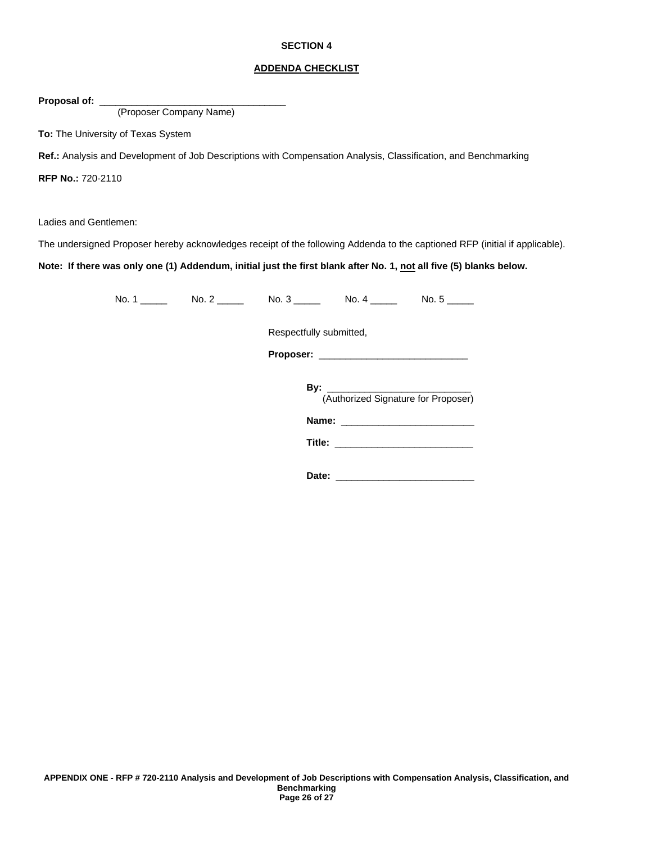#### **ADDENDA CHECKLIST**

Proposal of: \_

(Proposer Company Name)

**To:** The University of Texas System

**Ref.:** Analysis and Development of Job Descriptions with Compensation Analysis, Classification, and Benchmarking

**RFP No.:** 720-2110

Ladies and Gentlemen:

The undersigned Proposer hereby acknowledges receipt of the following Addenda to the captioned RFP (initial if applicable).

**Note: If there was only one (1) Addendum, initial just the first blank after No. 1, not all five (5) blanks below.**

No. 1 \_\_\_\_\_ No. 2 \_\_\_\_\_ No. 3 \_\_\_\_\_ No. 4 \_\_\_\_\_ No. 5 \_\_\_\_\_

Respectfully submitted,

**Proposer:** \_\_\_\_\_\_\_\_\_\_\_\_\_\_\_\_\_\_\_\_\_\_\_\_\_\_\_\_

**By:** \_\_\_\_\_\_\_\_\_\_\_\_\_\_\_\_\_\_\_\_\_\_\_\_\_\_\_ (Authorized Signature for Proposer)

**Name:** \_\_\_\_\_\_\_\_\_\_\_\_\_\_\_\_\_\_\_\_\_\_\_\_\_

**Title:** \_\_\_\_\_\_\_\_\_\_\_\_\_\_\_\_\_\_\_\_\_\_\_\_\_\_

**Date:** \_\_\_\_\_\_\_\_\_\_\_\_\_\_\_\_\_\_\_\_\_\_\_\_\_\_